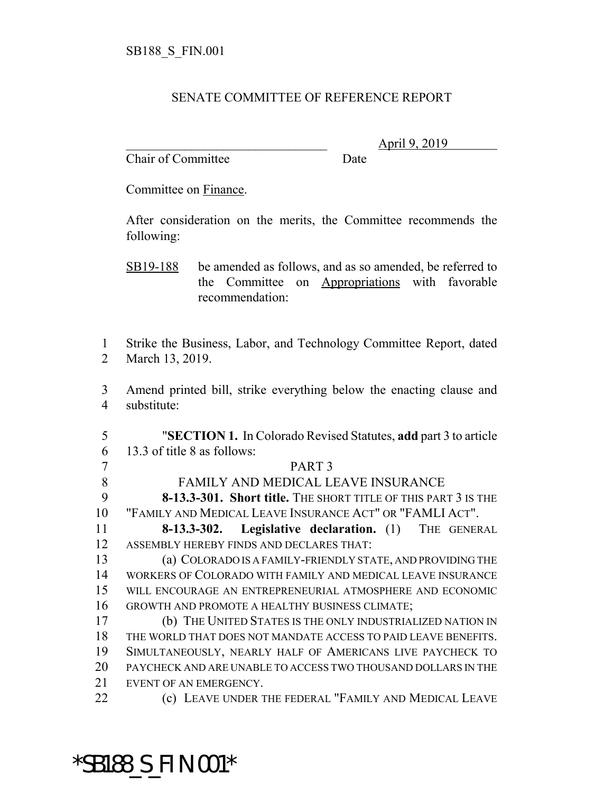#### SENATE COMMITTEE OF REFERENCE REPORT

Chair of Committee Date

\_\_\_\_\_\_\_\_\_\_\_\_\_\_\_\_\_\_\_\_\_\_\_\_\_\_\_\_\_\_\_ April 9, 2019

Committee on Finance.

After consideration on the merits, the Committee recommends the following:

- SB19-188 be amended as follows, and as so amended, be referred to the Committee on Appropriations with favorable recommendation:
- Strike the Business, Labor, and Technology Committee Report, dated March 13, 2019.
- Amend printed bill, strike everything below the enacting clause and substitute:
- "**SECTION 1.** In Colorado Revised Statutes, **add** part 3 to article 13.3 of title 8 as follows: PART 3
- FAMILY AND MEDICAL LEAVE INSURANCE **8-13.3-301. Short title.** THE SHORT TITLE OF THIS PART 3 IS THE
- "FAMILY AND MEDICAL LEAVE INSURANCE ACT" OR "FAMLI ACT".
- **8-13.3-302. Legislative declaration.** (1) THE GENERAL ASSEMBLY HEREBY FINDS AND DECLARES THAT:
- (a) COLORADO IS A FAMILY-FRIENDLY STATE, AND PROVIDING THE WORKERS OF COLORADO WITH FAMILY AND MEDICAL LEAVE INSURANCE WILL ENCOURAGE AN ENTREPRENEURIAL ATMOSPHERE AND ECONOMIC GROWTH AND PROMOTE A HEALTHY BUSINESS CLIMATE;
- (b) THE UNITED STATES IS THE ONLY INDUSTRIALIZED NATION IN THE WORLD THAT DOES NOT MANDATE ACCESS TO PAID LEAVE BENEFITS. SIMULTANEOUSLY, NEARLY HALF OF AMERICANS LIVE PAYCHECK TO PAYCHECK AND ARE UNABLE TO ACCESS TWO THOUSAND DOLLARS IN THE EVENT OF AN EMERGENCY.
- **(c)** LEAVE UNDER THE FEDERAL "FAMILY AND MEDICAL LEAVE

# \*SB188\_S\_FIN.001\*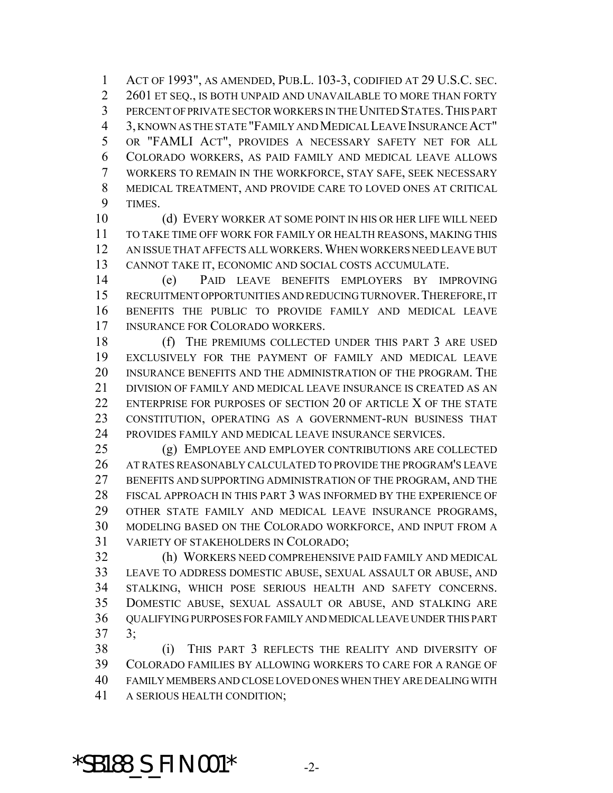ACT OF 1993", AS AMENDED, PUB.L. 103-3, CODIFIED AT 29 U.S.C. SEC. 2 2601 ET SEO., IS BOTH UNPAID AND UNAVAILABLE TO MORE THAN FORTY PERCENT OF PRIVATE SECTOR WORKERS IN THE UNITED STATES.THIS PART 3, KNOWN AS THE STATE "FAMILY AND MEDICAL LEAVE INSURANCE ACT" OR "FAMLI ACT", PROVIDES A NECESSARY SAFETY NET FOR ALL COLORADO WORKERS, AS PAID FAMILY AND MEDICAL LEAVE ALLOWS WORKERS TO REMAIN IN THE WORKFORCE, STAY SAFE, SEEK NECESSARY MEDICAL TREATMENT, AND PROVIDE CARE TO LOVED ONES AT CRITICAL TIMES.

 (d) EVERY WORKER AT SOME POINT IN HIS OR HER LIFE WILL NEED TO TAKE TIME OFF WORK FOR FAMILY OR HEALTH REASONS, MAKING THIS AN ISSUE THAT AFFECTS ALL WORKERS.WHEN WORKERS NEED LEAVE BUT CANNOT TAKE IT, ECONOMIC AND SOCIAL COSTS ACCUMULATE.

 (e) PAID LEAVE BENEFITS EMPLOYERS BY IMPROVING RECRUITMENT OPPORTUNITIES AND REDUCING TURNOVER.THEREFORE, IT BENEFITS THE PUBLIC TO PROVIDE FAMILY AND MEDICAL LEAVE INSURANCE FOR COLORADO WORKERS.

18 (f) THE PREMIUMS COLLECTED UNDER THIS PART 3 ARE USED EXCLUSIVELY FOR THE PAYMENT OF FAMILY AND MEDICAL LEAVE INSURANCE BENEFITS AND THE ADMINISTRATION OF THE PROGRAM. THE DIVISION OF FAMILY AND MEDICAL LEAVE INSURANCE IS CREATED AS AN ENTERPRISE FOR PURPOSES OF SECTION 20 OF ARTICLE X OF THE STATE CONSTITUTION, OPERATING AS A GOVERNMENT-RUN BUSINESS THAT PROVIDES FAMILY AND MEDICAL LEAVE INSURANCE SERVICES.

 (g) EMPLOYEE AND EMPLOYER CONTRIBUTIONS ARE COLLECTED AT RATES REASONABLY CALCULATED TO PROVIDE THE PROGRAM'S LEAVE BENEFITS AND SUPPORTING ADMINISTRATION OF THE PROGRAM, AND THE FISCAL APPROACH IN THIS PART 3 WAS INFORMED BY THE EXPERIENCE OF OTHER STATE FAMILY AND MEDICAL LEAVE INSURANCE PROGRAMS, MODELING BASED ON THE COLORADO WORKFORCE, AND INPUT FROM A VARIETY OF STAKEHOLDERS IN COLORADO;

 (h) WORKERS NEED COMPREHENSIVE PAID FAMILY AND MEDICAL LEAVE TO ADDRESS DOMESTIC ABUSE, SEXUAL ASSAULT OR ABUSE, AND STALKING, WHICH POSE SERIOUS HEALTH AND SAFETY CONCERNS. DOMESTIC ABUSE, SEXUAL ASSAULT OR ABUSE, AND STALKING ARE QUALIFYING PURPOSES FOR FAMILY AND MEDICAL LEAVE UNDER THIS PART 3;

 (i) THIS PART 3 REFLECTS THE REALITY AND DIVERSITY OF COLORADO FAMILIES BY ALLOWING WORKERS TO CARE FOR A RANGE OF FAMILY MEMBERS AND CLOSE LOVED ONES WHEN THEY ARE DEALING WITH A SERIOUS HEALTH CONDITION;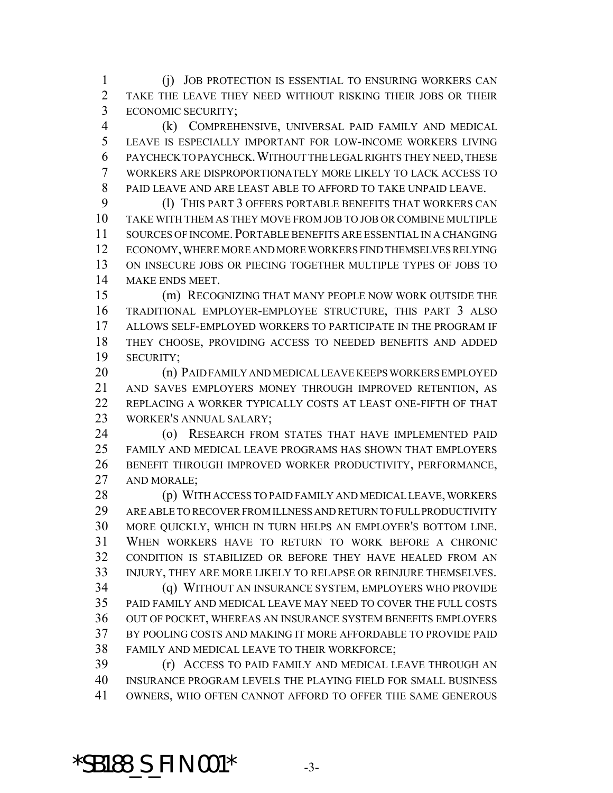(j) JOB PROTECTION IS ESSENTIAL TO ENSURING WORKERS CAN TAKE THE LEAVE THEY NEED WITHOUT RISKING THEIR JOBS OR THEIR ECONOMIC SECURITY;

 (k) COMPREHENSIVE, UNIVERSAL PAID FAMILY AND MEDICAL LEAVE IS ESPECIALLY IMPORTANT FOR LOW-INCOME WORKERS LIVING PAYCHECK TO PAYCHECK.WITHOUT THE LEGAL RIGHTS THEY NEED, THESE WORKERS ARE DISPROPORTIONATELY MORE LIKELY TO LACK ACCESS TO PAID LEAVE AND ARE LEAST ABLE TO AFFORD TO TAKE UNPAID LEAVE.

 (l) THIS PART 3 OFFERS PORTABLE BENEFITS THAT WORKERS CAN TAKE WITH THEM AS THEY MOVE FROM JOB TO JOB OR COMBINE MULTIPLE SOURCES OF INCOME.PORTABLE BENEFITS ARE ESSENTIAL IN A CHANGING ECONOMY, WHERE MORE AND MORE WORKERS FIND THEMSELVES RELYING ON INSECURE JOBS OR PIECING TOGETHER MULTIPLE TYPES OF JOBS TO MAKE ENDS MEET.

 (m) RECOGNIZING THAT MANY PEOPLE NOW WORK OUTSIDE THE TRADITIONAL EMPLOYER-EMPLOYEE STRUCTURE, THIS PART 3 ALSO ALLOWS SELF-EMPLOYED WORKERS TO PARTICIPATE IN THE PROGRAM IF THEY CHOOSE, PROVIDING ACCESS TO NEEDED BENEFITS AND ADDED SECURITY;

 (n) PAID FAMILY AND MEDICAL LEAVE KEEPS WORKERS EMPLOYED AND SAVES EMPLOYERS MONEY THROUGH IMPROVED RETENTION, AS REPLACING A WORKER TYPICALLY COSTS AT LEAST ONE-FIFTH OF THAT WORKER'S ANNUAL SALARY;

 (o) RESEARCH FROM STATES THAT HAVE IMPLEMENTED PAID FAMILY AND MEDICAL LEAVE PROGRAMS HAS SHOWN THAT EMPLOYERS BENEFIT THROUGH IMPROVED WORKER PRODUCTIVITY, PERFORMANCE, AND MORALE;

 (p) WITH ACCESS TO PAID FAMILY AND MEDICAL LEAVE, WORKERS ARE ABLE TO RECOVER FROM ILLNESS AND RETURN TO FULL PRODUCTIVITY MORE QUICKLY, WHICH IN TURN HELPS AN EMPLOYER'S BOTTOM LINE. WHEN WORKERS HAVE TO RETURN TO WORK BEFORE A CHRONIC CONDITION IS STABILIZED OR BEFORE THEY HAVE HEALED FROM AN INJURY, THEY ARE MORE LIKELY TO RELAPSE OR REINJURE THEMSELVES.

 (q) WITHOUT AN INSURANCE SYSTEM, EMPLOYERS WHO PROVIDE PAID FAMILY AND MEDICAL LEAVE MAY NEED TO COVER THE FULL COSTS OUT OF POCKET, WHEREAS AN INSURANCE SYSTEM BENEFITS EMPLOYERS BY POOLING COSTS AND MAKING IT MORE AFFORDABLE TO PROVIDE PAID FAMILY AND MEDICAL LEAVE TO THEIR WORKFORCE;

 (r) ACCESS TO PAID FAMILY AND MEDICAL LEAVE THROUGH AN INSURANCE PROGRAM LEVELS THE PLAYING FIELD FOR SMALL BUSINESS OWNERS, WHO OFTEN CANNOT AFFORD TO OFFER THE SAME GENEROUS

**\*SB188\_S\_FIN.001\*** 3-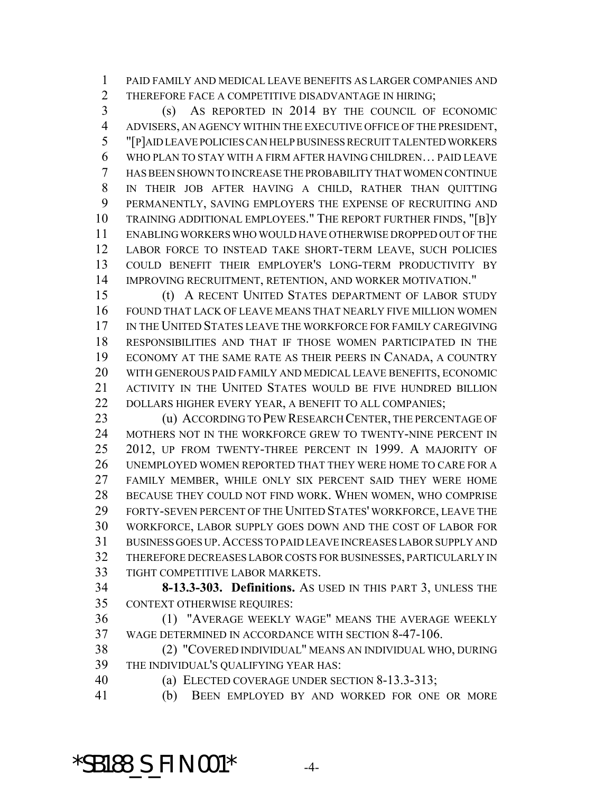PAID FAMILY AND MEDICAL LEAVE BENEFITS AS LARGER COMPANIES AND THEREFORE FACE A COMPETITIVE DISADVANTAGE IN HIRING;

 (s) AS REPORTED IN 2014 BY THE COUNCIL OF ECONOMIC ADVISERS, AN AGENCY WITHIN THE EXECUTIVE OFFICE OF THE PRESIDENT, "[P]AID LEAVE POLICIES CAN HELP BUSINESS RECRUIT TALENTED WORKERS WHO PLAN TO STAY WITH A FIRM AFTER HAVING CHILDREN… PAID LEAVE HAS BEEN SHOWN TO INCREASE THE PROBABILITY THAT WOMEN CONTINUE IN THEIR JOB AFTER HAVING A CHILD, RATHER THAN QUITTING PERMANENTLY, SAVING EMPLOYERS THE EXPENSE OF RECRUITING AND TRAINING ADDITIONAL EMPLOYEES." THE REPORT FURTHER FINDS, "[B]Y ENABLING WORKERS WHO WOULD HAVE OTHERWISE DROPPED OUT OF THE LABOR FORCE TO INSTEAD TAKE SHORT-TERM LEAVE, SUCH POLICIES COULD BENEFIT THEIR EMPLOYER'S LONG-TERM PRODUCTIVITY BY IMPROVING RECRUITMENT, RETENTION, AND WORKER MOTIVATION."

 (t) A RECENT UNITED STATES DEPARTMENT OF LABOR STUDY FOUND THAT LACK OF LEAVE MEANS THAT NEARLY FIVE MILLION WOMEN IN THE UNITED STATES LEAVE THE WORKFORCE FOR FAMILY CAREGIVING RESPONSIBILITIES AND THAT IF THOSE WOMEN PARTICIPATED IN THE ECONOMY AT THE SAME RATE AS THEIR PEERS IN CANADA, A COUNTRY WITH GENEROUS PAID FAMILY AND MEDICAL LEAVE BENEFITS, ECONOMIC ACTIVITY IN THE UNITED STATES WOULD BE FIVE HUNDRED BILLION 22 DOLLARS HIGHER EVERY YEAR, A BENEFIT TO ALL COMPANIES;

23 (u) ACCORDING TO PEW RESEARCH CENTER, THE PERCENTAGE OF MOTHERS NOT IN THE WORKFORCE GREW TO TWENTY-NINE PERCENT IN 2012, UP FROM TWENTY-THREE PERCENT IN 1999. A MAJORITY OF UNEMPLOYED WOMEN REPORTED THAT THEY WERE HOME TO CARE FOR A FAMILY MEMBER, WHILE ONLY SIX PERCENT SAID THEY WERE HOME BECAUSE THEY COULD NOT FIND WORK. WHEN WOMEN, WHO COMPRISE FORTY-SEVEN PERCENT OF THE UNITED STATES' WORKFORCE, LEAVE THE WORKFORCE, LABOR SUPPLY GOES DOWN AND THE COST OF LABOR FOR BUSINESS GOES UP.ACCESS TO PAID LEAVE INCREASES LABOR SUPPLY AND THEREFORE DECREASES LABOR COSTS FOR BUSINESSES, PARTICULARLY IN TIGHT COMPETITIVE LABOR MARKETS.

 **8-13.3-303. Definitions.** AS USED IN THIS PART 3, UNLESS THE CONTEXT OTHERWISE REQUIRES:

 (1) "AVERAGE WEEKLY WAGE" MEANS THE AVERAGE WEEKLY WAGE DETERMINED IN ACCORDANCE WITH SECTION 8-47-106.

 (2) "COVERED INDIVIDUAL" MEANS AN INDIVIDUAL WHO, DURING THE INDIVIDUAL'S QUALIFYING YEAR HAS:

(a) ELECTED COVERAGE UNDER SECTION 8-13.3-313;

(b) BEEN EMPLOYED BY AND WORKED FOR ONE OR MORE

### **\*SB188\_S\_FIN.001\*** 4-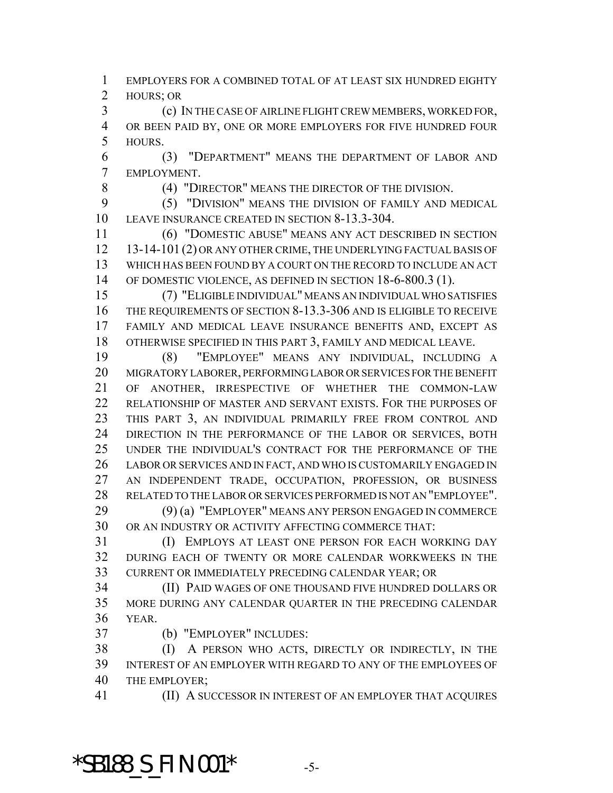EMPLOYERS FOR A COMBINED TOTAL OF AT LEAST SIX HUNDRED EIGHTY HOURS; OR

 (c) IN THE CASE OF AIRLINE FLIGHT CREW MEMBERS, WORKED FOR, OR BEEN PAID BY, ONE OR MORE EMPLOYERS FOR FIVE HUNDRED FOUR HOURS.

 (3) "DEPARTMENT" MEANS THE DEPARTMENT OF LABOR AND EMPLOYMENT.

(4) "DIRECTOR" MEANS THE DIRECTOR OF THE DIVISION.

 (5) "DIVISION" MEANS THE DIVISION OF FAMILY AND MEDICAL LEAVE INSURANCE CREATED IN SECTION 8-13.3-304.

 (6) "DOMESTIC ABUSE" MEANS ANY ACT DESCRIBED IN SECTION 13-14-101 (2) OR ANY OTHER CRIME, THE UNDERLYING FACTUAL BASIS OF WHICH HAS BEEN FOUND BY A COURT ON THE RECORD TO INCLUDE AN ACT 14 OF DOMESTIC VIOLENCE, AS DEFINED IN SECTION 18-6-800.3 (1).

 (7) "ELIGIBLE INDIVIDUAL" MEANS AN INDIVIDUAL WHO SATISFIES THE REQUIREMENTS OF SECTION 8-13.3-306 AND IS ELIGIBLE TO RECEIVE FAMILY AND MEDICAL LEAVE INSURANCE BENEFITS AND, EXCEPT AS OTHERWISE SPECIFIED IN THIS PART 3, FAMILY AND MEDICAL LEAVE.

 (8) "EMPLOYEE" MEANS ANY INDIVIDUAL, INCLUDING A MIGRATORY LABORER, PERFORMING LABOR OR SERVICES FOR THE BENEFIT OF ANOTHER, IRRESPECTIVE OF WHETHER THE COMMON-LAW RELATIONSHIP OF MASTER AND SERVANT EXISTS. FOR THE PURPOSES OF THIS PART 3, AN INDIVIDUAL PRIMARILY FREE FROM CONTROL AND 24 DIRECTION IN THE PERFORMANCE OF THE LABOR OR SERVICES, BOTH UNDER THE INDIVIDUAL'S CONTRACT FOR THE PERFORMANCE OF THE LABOR OR SERVICES AND IN FACT, AND WHO IS CUSTOMARILY ENGAGED IN AN INDEPENDENT TRADE, OCCUPATION, PROFESSION, OR BUSINESS RELATED TO THE LABOR OR SERVICES PERFORMED IS NOT AN "EMPLOYEE". (9) (a) "EMPLOYER" MEANS ANY PERSON ENGAGED IN COMMERCE

OR AN INDUSTRY OR ACTIVITY AFFECTING COMMERCE THAT:

31 (I) EMPLOYS AT LEAST ONE PERSON FOR EACH WORKING DAY DURING EACH OF TWENTY OR MORE CALENDAR WORKWEEKS IN THE CURRENT OR IMMEDIATELY PRECEDING CALENDAR YEAR; OR

 (II) PAID WAGES OF ONE THOUSAND FIVE HUNDRED DOLLARS OR MORE DURING ANY CALENDAR QUARTER IN THE PRECEDING CALENDAR YEAR.

(b) "EMPLOYER" INCLUDES:

 (I) A PERSON WHO ACTS, DIRECTLY OR INDIRECTLY, IN THE INTEREST OF AN EMPLOYER WITH REGARD TO ANY OF THE EMPLOYEES OF THE EMPLOYER;

(II) A SUCCESSOR IN INTEREST OF AN EMPLOYER THAT ACQUIRES

**\*SB188\_S\_FIN.001\*** -5-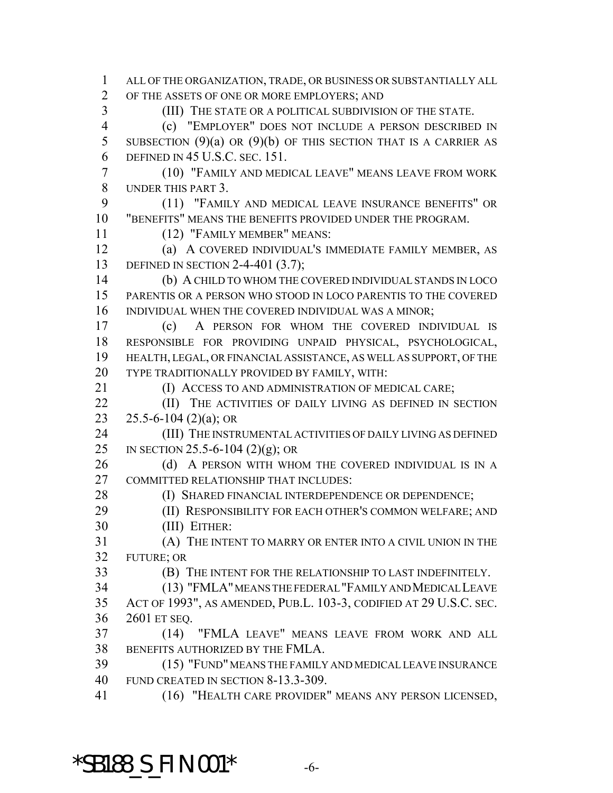ALL OF THE ORGANIZATION, TRADE, OR BUSINESS OR SUBSTANTIALLY ALL OF THE ASSETS OF ONE OR MORE EMPLOYERS; AND (III) THE STATE OR A POLITICAL SUBDIVISION OF THE STATE. (c) "EMPLOYER" DOES NOT INCLUDE A PERSON DESCRIBED IN 5 SUBSECTION  $(9)(a)$  OR  $(9)(b)$  OF THIS SECTION THAT IS A CARRIER AS DEFINED IN 45 U.S.C. SEC. 151. (10) "FAMILY AND MEDICAL LEAVE" MEANS LEAVE FROM WORK UNDER THIS PART 3. (11) "FAMILY AND MEDICAL LEAVE INSURANCE BENEFITS" OR "BENEFITS" MEANS THE BENEFITS PROVIDED UNDER THE PROGRAM. (12) "FAMILY MEMBER" MEANS: (a) A COVERED INDIVIDUAL'S IMMEDIATE FAMILY MEMBER, AS DEFINED IN SECTION 2-4-401 (3.7); (b) A CHILD TO WHOM THE COVERED INDIVIDUAL STANDS IN LOCO PARENTIS OR A PERSON WHO STOOD IN LOCO PARENTIS TO THE COVERED INDIVIDUAL WHEN THE COVERED INDIVIDUAL WAS A MINOR; (c) A PERSON FOR WHOM THE COVERED INDIVIDUAL IS RESPONSIBLE FOR PROVIDING UNPAID PHYSICAL, PSYCHOLOGICAL, HEALTH, LEGAL, OR FINANCIAL ASSISTANCE, AS WELL AS SUPPORT, OF THE TYPE TRADITIONALLY PROVIDED BY FAMILY, WITH: **(I) ACCESS TO AND ADMINISTRATION OF MEDICAL CARE; (II)** THE ACTIVITIES OF DAILY LIVING AS DEFINED IN SECTION 23 25.5-6-104 (2)(a); OR 24 (III) THE INSTRUMENTAL ACTIVITIES OF DAILY LIVING AS DEFINED IN SECTION 25.5-6-104 (2)(g); OR 26 (d) A PERSON WITH WHOM THE COVERED INDIVIDUAL IS IN A COMMITTED RELATIONSHIP THAT INCLUDES: 28 (I) SHARED FINANCIAL INTERDEPENDENCE OR DEPENDENCE; **(II) RESPONSIBILITY FOR EACH OTHER'S COMMON WELFARE; AND**  (III) EITHER: (A) THE INTENT TO MARRY OR ENTER INTO A CIVIL UNION IN THE FUTURE; OR (B) THE INTENT FOR THE RELATIONSHIP TO LAST INDEFINITELY. (13) "FMLA" MEANS THE FEDERAL "FAMILY AND MEDICAL LEAVE ACT OF 1993", AS AMENDED, PUB.L. 103-3, CODIFIED AT 29 U.S.C. SEC. 2601 ET SEQ. (14) "FMLA LEAVE" MEANS LEAVE FROM WORK AND ALL BENEFITS AUTHORIZED BY THE FMLA. (15) "FUND" MEANS THE FAMILY AND MEDICAL LEAVE INSURANCE FUND CREATED IN SECTION 8-13.3-309. (16) "HEALTH CARE PROVIDER" MEANS ANY PERSON LICENSED,

#### \*SB188\_S\_FIN.001\* -6-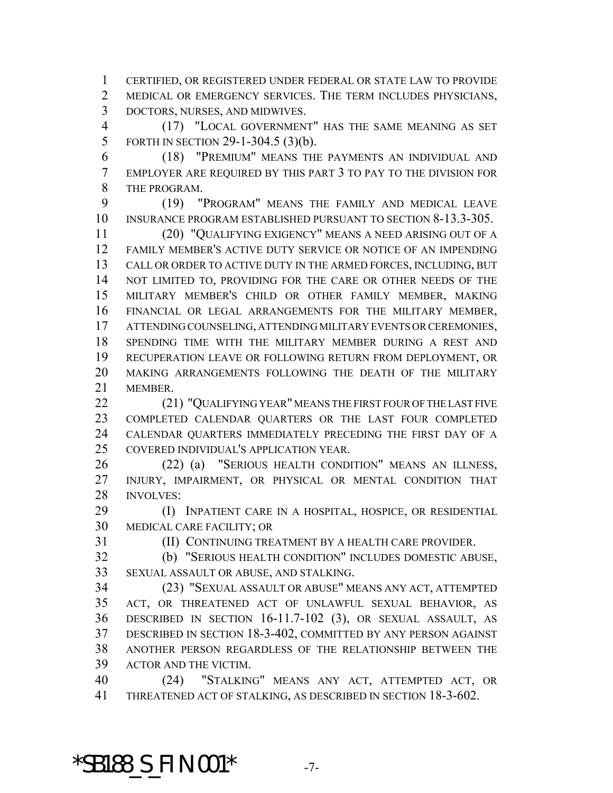CERTIFIED, OR REGISTERED UNDER FEDERAL OR STATE LAW TO PROVIDE MEDICAL OR EMERGENCY SERVICES. THE TERM INCLUDES PHYSICIANS, DOCTORS, NURSES, AND MIDWIVES.

 (17) "LOCAL GOVERNMENT" HAS THE SAME MEANING AS SET FORTH IN SECTION 29-1-304.5 (3)(b).

 (18) "PREMIUM" MEANS THE PAYMENTS AN INDIVIDUAL AND EMPLOYER ARE REQUIRED BY THIS PART 3 TO PAY TO THE DIVISION FOR THE PROGRAM.

 (19) "PROGRAM" MEANS THE FAMILY AND MEDICAL LEAVE INSURANCE PROGRAM ESTABLISHED PURSUANT TO SECTION 8-13.3-305.

 (20) "QUALIFYING EXIGENCY" MEANS A NEED ARISING OUT OF A FAMILY MEMBER'S ACTIVE DUTY SERVICE OR NOTICE OF AN IMPENDING CALL OR ORDER TO ACTIVE DUTY IN THE ARMED FORCES, INCLUDING, BUT 14 NOT LIMITED TO, PROVIDING FOR THE CARE OR OTHER NEEDS OF THE MILITARY MEMBER'S CHILD OR OTHER FAMILY MEMBER, MAKING FINANCIAL OR LEGAL ARRANGEMENTS FOR THE MILITARY MEMBER, ATTENDING COUNSELING, ATTENDING MILITARY EVENTS OR CEREMONIES, SPENDING TIME WITH THE MILITARY MEMBER DURING A REST AND RECUPERATION LEAVE OR FOLLOWING RETURN FROM DEPLOYMENT, OR MAKING ARRANGEMENTS FOLLOWING THE DEATH OF THE MILITARY MEMBER.

22 (21) "OUALIFYING YEAR" MEANS THE FIRST FOUR OF THE LAST FIVE COMPLETED CALENDAR QUARTERS OR THE LAST FOUR COMPLETED CALENDAR QUARTERS IMMEDIATELY PRECEDING THE FIRST DAY OF A COVERED INDIVIDUAL'S APPLICATION YEAR.

 (22) (a) "SERIOUS HEALTH CONDITION" MEANS AN ILLNESS, INJURY, IMPAIRMENT, OR PHYSICAL OR MENTAL CONDITION THAT INVOLVES:

 (I) INPATIENT CARE IN A HOSPITAL, HOSPICE, OR RESIDENTIAL MEDICAL CARE FACILITY; OR

(II) CONTINUING TREATMENT BY A HEALTH CARE PROVIDER.

 (b) "SERIOUS HEALTH CONDITION" INCLUDES DOMESTIC ABUSE, SEXUAL ASSAULT OR ABUSE, AND STALKING.

 (23) "SEXUAL ASSAULT OR ABUSE" MEANS ANY ACT, ATTEMPTED ACT, OR THREATENED ACT OF UNLAWFUL SEXUAL BEHAVIOR, AS DESCRIBED IN SECTION 16-11.7-102 (3), OR SEXUAL ASSAULT, AS DESCRIBED IN SECTION 18-3-402, COMMITTED BY ANY PERSON AGAINST ANOTHER PERSON REGARDLESS OF THE RELATIONSHIP BETWEEN THE ACTOR AND THE VICTIM.

 (24) "STALKING" MEANS ANY ACT, ATTEMPTED ACT, OR THREATENED ACT OF STALKING, AS DESCRIBED IN SECTION 18-3-602.

**\*SB188\_S\_FIN.001\*** -7-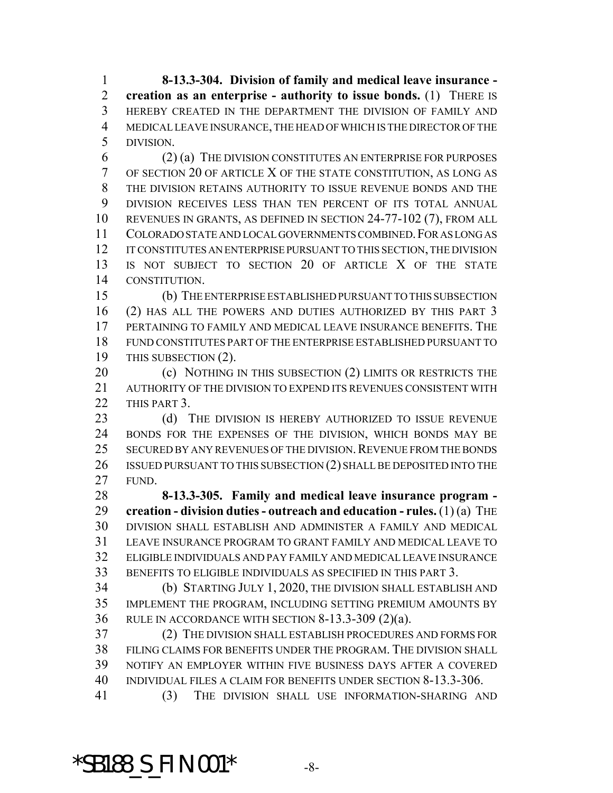**8-13.3-304. Division of family and medical leave insurance - creation as an enterprise - authority to issue bonds.** (1) THERE IS HEREBY CREATED IN THE DEPARTMENT THE DIVISION OF FAMILY AND MEDICAL LEAVE INSURANCE, THE HEAD OF WHICH IS THE DIRECTOR OF THE DIVISION.

 (2) (a) THE DIVISION CONSTITUTES AN ENTERPRISE FOR PURPOSES OF SECTION 20 OF ARTICLE X OF THE STATE CONSTITUTION, AS LONG AS THE DIVISION RETAINS AUTHORITY TO ISSUE REVENUE BONDS AND THE DIVISION RECEIVES LESS THAN TEN PERCENT OF ITS TOTAL ANNUAL REVENUES IN GRANTS, AS DEFINED IN SECTION 24-77-102 (7), FROM ALL COLORADO STATE AND LOCAL GOVERNMENTS COMBINED.FOR AS LONG AS IT CONSTITUTES AN ENTERPRISE PURSUANT TO THIS SECTION, THE DIVISION IS NOT SUBJECT TO SECTION 20 OF ARTICLE X OF THE STATE CONSTITUTION.

 (b) THE ENTERPRISE ESTABLISHED PURSUANT TO THIS SUBSECTION (2) HAS ALL THE POWERS AND DUTIES AUTHORIZED BY THIS PART 3 PERTAINING TO FAMILY AND MEDICAL LEAVE INSURANCE BENEFITS. THE FUND CONSTITUTES PART OF THE ENTERPRISE ESTABLISHED PURSUANT TO 19 THIS SUBSECTION (2).

20 (c) NOTHING IN THIS SUBSECTION (2) LIMITS OR RESTRICTS THE AUTHORITY OF THE DIVISION TO EXPEND ITS REVENUES CONSISTENT WITH THIS PART 3.

23 (d) THE DIVISION IS HEREBY AUTHORIZED TO ISSUE REVENUE BONDS FOR THE EXPENSES OF THE DIVISION, WHICH BONDS MAY BE 25 SECURED BY ANY REVENUES OF THE DIVISION. REVENUE FROM THE BONDS 26 ISSUED PURSUANT TO THIS SUBSECTION (2) SHALL BE DEPOSITED INTO THE FUND.

 **8-13.3-305. Family and medical leave insurance program - creation - division duties - outreach and education - rules.** (1) (a) THE DIVISION SHALL ESTABLISH AND ADMINISTER A FAMILY AND MEDICAL LEAVE INSURANCE PROGRAM TO GRANT FAMILY AND MEDICAL LEAVE TO ELIGIBLE INDIVIDUALS AND PAY FAMILY AND MEDICAL LEAVE INSURANCE BENEFITS TO ELIGIBLE INDIVIDUALS AS SPECIFIED IN THIS PART 3.

 (b) STARTING JULY 1, 2020, THE DIVISION SHALL ESTABLISH AND IMPLEMENT THE PROGRAM, INCLUDING SETTING PREMIUM AMOUNTS BY RULE IN ACCORDANCE WITH SECTION 8-13.3-309 (2)(a).

 (2) THE DIVISION SHALL ESTABLISH PROCEDURES AND FORMS FOR FILING CLAIMS FOR BENEFITS UNDER THE PROGRAM. THE DIVISION SHALL NOTIFY AN EMPLOYER WITHIN FIVE BUSINESS DAYS AFTER A COVERED INDIVIDUAL FILES A CLAIM FOR BENEFITS UNDER SECTION 8-13.3-306.

(3) THE DIVISION SHALL USE INFORMATION-SHARING AND

#### \*SB188\_S\_FIN.001\* -8-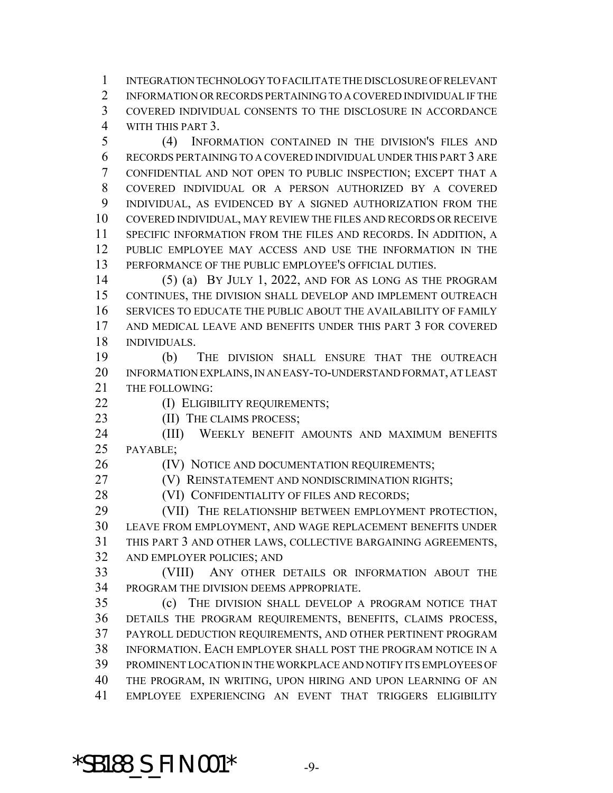INTEGRATION TECHNOLOGY TO FACILITATE THE DISCLOSURE OF RELEVANT INFORMATION OR RECORDS PERTAINING TO A COVERED INDIVIDUAL IF THE COVERED INDIVIDUAL CONSENTS TO THE DISCLOSURE IN ACCORDANCE WITH THIS PART 3.

 (4) INFORMATION CONTAINED IN THE DIVISION'S FILES AND RECORDS PERTAINING TO A COVERED INDIVIDUAL UNDER THIS PART 3 ARE CONFIDENTIAL AND NOT OPEN TO PUBLIC INSPECTION; EXCEPT THAT A COVERED INDIVIDUAL OR A PERSON AUTHORIZED BY A COVERED INDIVIDUAL, AS EVIDENCED BY A SIGNED AUTHORIZATION FROM THE COVERED INDIVIDUAL, MAY REVIEW THE FILES AND RECORDS OR RECEIVE SPECIFIC INFORMATION FROM THE FILES AND RECORDS. IN ADDITION, A PUBLIC EMPLOYEE MAY ACCESS AND USE THE INFORMATION IN THE PERFORMANCE OF THE PUBLIC EMPLOYEE'S OFFICIAL DUTIES.

 (5) (a) BY JULY 1, 2022, AND FOR AS LONG AS THE PROGRAM CONTINUES, THE DIVISION SHALL DEVELOP AND IMPLEMENT OUTREACH SERVICES TO EDUCATE THE PUBLIC ABOUT THE AVAILABILITY OF FAMILY AND MEDICAL LEAVE AND BENEFITS UNDER THIS PART 3 FOR COVERED INDIVIDUALS.

 (b) THE DIVISION SHALL ENSURE THAT THE OUTREACH INFORMATION EXPLAINS, IN AN EASY-TO-UNDERSTAND FORMAT, AT LEAST THE FOLLOWING:

**(I) ELIGIBILITY REQUIREMENTS;** 

23 (II) THE CLAIMS PROCESS;

 (III) WEEKLY BENEFIT AMOUNTS AND MAXIMUM BENEFITS PAYABLE;

26 (IV) NOTICE AND DOCUMENTATION REQUIREMENTS;

**(V) REINSTATEMENT AND NONDISCRIMINATION RIGHTS;** 

28 (VI) CONFIDENTIALITY OF FILES AND RECORDS;

 (VII) THE RELATIONSHIP BETWEEN EMPLOYMENT PROTECTION, LEAVE FROM EMPLOYMENT, AND WAGE REPLACEMENT BENEFITS UNDER THIS PART 3 AND OTHER LAWS, COLLECTIVE BARGAINING AGREEMENTS, AND EMPLOYER POLICIES; AND

 (VIII) ANY OTHER DETAILS OR INFORMATION ABOUT THE PROGRAM THE DIVISION DEEMS APPROPRIATE.

 (c) THE DIVISION SHALL DEVELOP A PROGRAM NOTICE THAT DETAILS THE PROGRAM REQUIREMENTS, BENEFITS, CLAIMS PROCESS, PAYROLL DEDUCTION REQUIREMENTS, AND OTHER PERTINENT PROGRAM INFORMATION. EACH EMPLOYER SHALL POST THE PROGRAM NOTICE IN A PROMINENT LOCATION IN THE WORKPLACE AND NOTIFY ITS EMPLOYEES OF THE PROGRAM, IN WRITING, UPON HIRING AND UPON LEARNING OF AN EMPLOYEE EXPERIENCING AN EVENT THAT TRIGGERS ELIGIBILITY

**\*SB188\_S\_FIN.001\*** -9-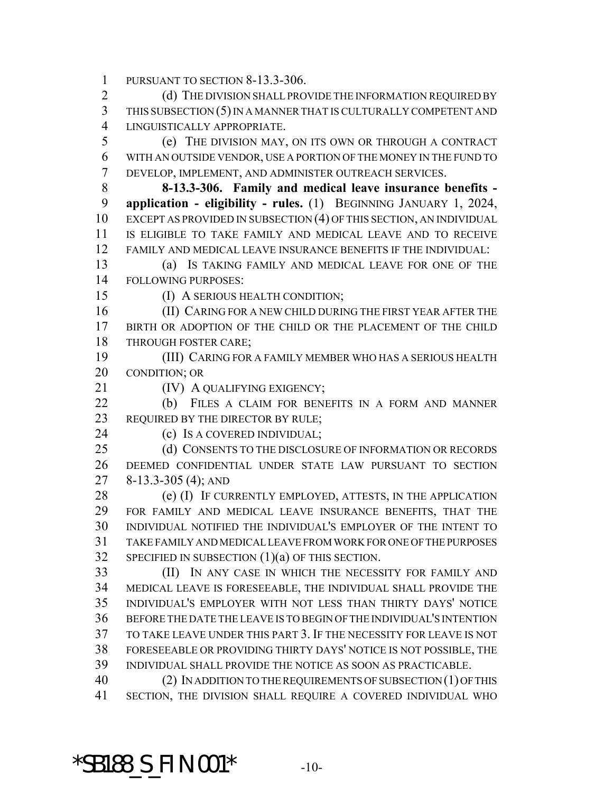PURSUANT TO SECTION 8-13.3-306.

2 (d) THE DIVISION SHALL PROVIDE THE INFORMATION REQUIRED BY THIS SUBSECTION (5) IN A MANNER THAT IS CULTURALLY COMPETENT AND LINGUISTICALLY APPROPRIATE.

 (e) THE DIVISION MAY, ON ITS OWN OR THROUGH A CONTRACT WITH AN OUTSIDE VENDOR, USE A PORTION OF THE MONEY IN THE FUND TO DEVELOP, IMPLEMENT, AND ADMINISTER OUTREACH SERVICES.

 **8-13.3-306. Family and medical leave insurance benefits - application - eligibility - rules.** (1) BEGINNING JANUARY 1, 2024, EXCEPT AS PROVIDED IN SUBSECTION (4) OF THIS SECTION, AN INDIVIDUAL IS ELIGIBLE TO TAKE FAMILY AND MEDICAL LEAVE AND TO RECEIVE FAMILY AND MEDICAL LEAVE INSURANCE BENEFITS IF THE INDIVIDUAL:

 (a) IS TAKING FAMILY AND MEDICAL LEAVE FOR ONE OF THE FOLLOWING PURPOSES:

(I) A SERIOUS HEALTH CONDITION;

 (II) CARING FOR A NEW CHILD DURING THE FIRST YEAR AFTER THE BIRTH OR ADOPTION OF THE CHILD OR THE PLACEMENT OF THE CHILD THROUGH FOSTER CARE;

 (III) CARING FOR A FAMILY MEMBER WHO HAS A SERIOUS HEALTH CONDITION; OR

**(IV) A QUALIFYING EXIGENCY;** 

 (b) FILES A CLAIM FOR BENEFITS IN A FORM AND MANNER 23 REQUIRED BY THE DIRECTOR BY RULE;

(c) IS A COVERED INDIVIDUAL;

25 (d) CONSENTS TO THE DISCLOSURE OF INFORMATION OR RECORDS DEEMED CONFIDENTIAL UNDER STATE LAW PURSUANT TO SECTION 8-13.3-305 (4); AND

28 (e) (I) IF CURRENTLY EMPLOYED, ATTESTS, IN THE APPLICATION FOR FAMILY AND MEDICAL LEAVE INSURANCE BENEFITS, THAT THE INDIVIDUAL NOTIFIED THE INDIVIDUAL'S EMPLOYER OF THE INTENT TO TAKE FAMILY AND MEDICAL LEAVE FROM WORK FOR ONE OF THE PURPOSES SPECIFIED IN SUBSECTION (1)(a) OF THIS SECTION.

 (II) IN ANY CASE IN WHICH THE NECESSITY FOR FAMILY AND MEDICAL LEAVE IS FORESEEABLE, THE INDIVIDUAL SHALL PROVIDE THE INDIVIDUAL'S EMPLOYER WITH NOT LESS THAN THIRTY DAYS' NOTICE BEFORE THE DATE THE LEAVE IS TO BEGIN OF THE INDIVIDUAL'S INTENTION TO TAKE LEAVE UNDER THIS PART 3. IF THE NECESSITY FOR LEAVE IS NOT FORESEEABLE OR PROVIDING THIRTY DAYS' NOTICE IS NOT POSSIBLE, THE INDIVIDUAL SHALL PROVIDE THE NOTICE AS SOON AS PRACTICABLE.

 (2) IN ADDITION TO THE REQUIREMENTS OF SUBSECTION (1) OF THIS SECTION, THE DIVISION SHALL REQUIRE A COVERED INDIVIDUAL WHO

#### **\*SB188\_S\_FIN.001\*** -10-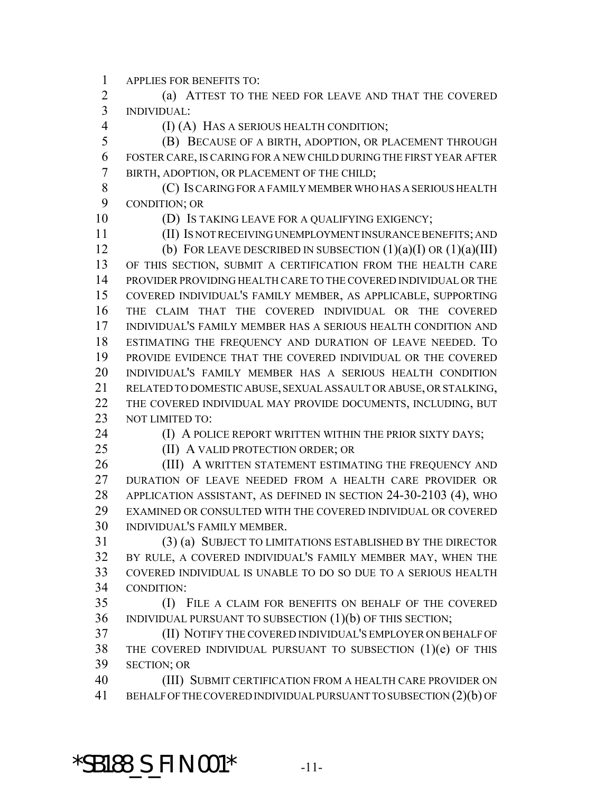APPLIES FOR BENEFITS TO:

 (a) ATTEST TO THE NEED FOR LEAVE AND THAT THE COVERED INDIVIDUAL:

(I) (A) HAS A SERIOUS HEALTH CONDITION;

 (B) BECAUSE OF A BIRTH, ADOPTION, OR PLACEMENT THROUGH FOSTER CARE, IS CARING FOR A NEW CHILD DURING THE FIRST YEAR AFTER BIRTH, ADOPTION, OR PLACEMENT OF THE CHILD;

 (C) IS CARING FOR A FAMILY MEMBER WHO HAS A SERIOUS HEALTH CONDITION; OR

(D) IS TAKING LEAVE FOR A QUALIFYING EXIGENCY;

(II) IS NOT RECEIVING UNEMPLOYMENT INSURANCE BENEFITS; AND

12 (b) FOR LEAVE DESCRIBED IN SUBSECTION  $(1)(a)(I)$  OR  $(1)(a)(III)$  OF THIS SECTION, SUBMIT A CERTIFICATION FROM THE HEALTH CARE PROVIDER PROVIDING HEALTH CARE TO THE COVERED INDIVIDUAL OR THE COVERED INDIVIDUAL'S FAMILY MEMBER, AS APPLICABLE, SUPPORTING THE CLAIM THAT THE COVERED INDIVIDUAL OR THE COVERED INDIVIDUAL'S FAMILY MEMBER HAS A SERIOUS HEALTH CONDITION AND ESTIMATING THE FREQUENCY AND DURATION OF LEAVE NEEDED. TO PROVIDE EVIDENCE THAT THE COVERED INDIVIDUAL OR THE COVERED INDIVIDUAL'S FAMILY MEMBER HAS A SERIOUS HEALTH CONDITION RELATED TO DOMESTIC ABUSE, SEXUAL ASSAULT OR ABUSE, OR STALKING, THE COVERED INDIVIDUAL MAY PROVIDE DOCUMENTS, INCLUDING, BUT NOT LIMITED TO:

**(I) A POLICE REPORT WRITTEN WITHIN THE PRIOR SIXTY DAYS;** 

25 (II) A VALID PROTECTION ORDER; OR

26 (III) A WRITTEN STATEMENT ESTIMATING THE FREQUENCY AND DURATION OF LEAVE NEEDED FROM A HEALTH CARE PROVIDER OR APPLICATION ASSISTANT, AS DEFINED IN SECTION 24-30-2103 (4), WHO EXAMINED OR CONSULTED WITH THE COVERED INDIVIDUAL OR COVERED INDIVIDUAL'S FAMILY MEMBER.

 (3) (a) SUBJECT TO LIMITATIONS ESTABLISHED BY THE DIRECTOR BY RULE, A COVERED INDIVIDUAL'S FAMILY MEMBER MAY, WHEN THE COVERED INDIVIDUAL IS UNABLE TO DO SO DUE TO A SERIOUS HEALTH CONDITION:

 (I) FILE A CLAIM FOR BENEFITS ON BEHALF OF THE COVERED INDIVIDUAL PURSUANT TO SUBSECTION (1)(b) OF THIS SECTION;

 (II) NOTIFY THE COVERED INDIVIDUAL'S EMPLOYER ON BEHALF OF THE COVERED INDIVIDUAL PURSUANT TO SUBSECTION (1)(e) OF THIS SECTION; OR

 (III) SUBMIT CERTIFICATION FROM A HEALTH CARE PROVIDER ON BEHALF OF THE COVERED INDIVIDUAL PURSUANT TO SUBSECTION (2)(b) OF

\*SB188\_S\_FIN.001\* -11-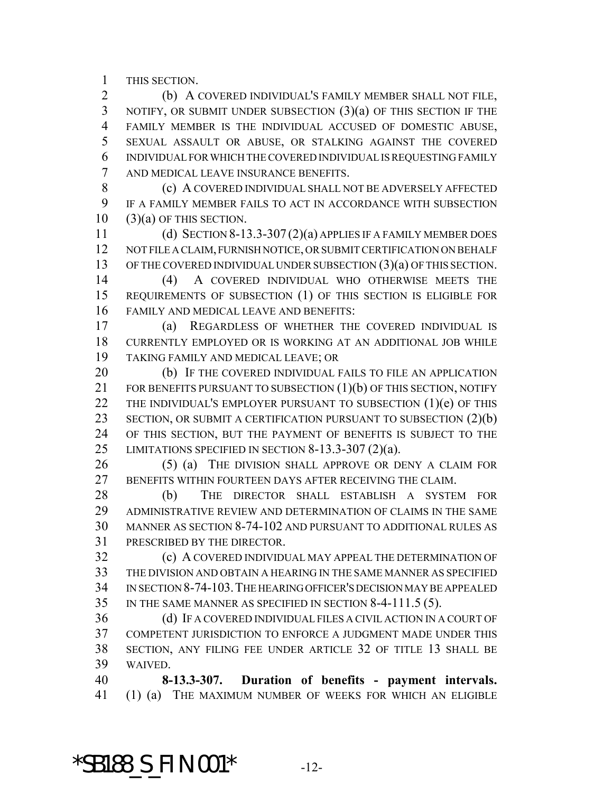THIS SECTION.

 (b) A COVERED INDIVIDUAL'S FAMILY MEMBER SHALL NOT FILE, NOTIFY, OR SUBMIT UNDER SUBSECTION (3)(a) OF THIS SECTION IF THE FAMILY MEMBER IS THE INDIVIDUAL ACCUSED OF DOMESTIC ABUSE, SEXUAL ASSAULT OR ABUSE, OR STALKING AGAINST THE COVERED INDIVIDUAL FOR WHICH THE COVERED INDIVIDUAL IS REQUESTING FAMILY AND MEDICAL LEAVE INSURANCE BENEFITS.

8 (c) A COVERED INDIVIDUAL SHALL NOT BE ADVERSELY AFFECTED IF A FAMILY MEMBER FAILS TO ACT IN ACCORDANCE WITH SUBSECTION (3)(a) OF THIS SECTION.

 (d) SECTION 8-13.3-307 (2)(a) APPLIES IF A FAMILY MEMBER DOES NOT FILE A CLAIM, FURNISH NOTICE, OR SUBMIT CERTIFICATION ON BEHALF 13 OF THE COVERED INDIVIDUAL UNDER SUBSECTION (3)(a) OF THIS SECTION.

 (4) A COVERED INDIVIDUAL WHO OTHERWISE MEETS THE REQUIREMENTS OF SUBSECTION (1) OF THIS SECTION IS ELIGIBLE FOR FAMILY AND MEDICAL LEAVE AND BENEFITS:

 (a) REGARDLESS OF WHETHER THE COVERED INDIVIDUAL IS CURRENTLY EMPLOYED OR IS WORKING AT AN ADDITIONAL JOB WHILE TAKING FAMILY AND MEDICAL LEAVE; OR

20 (b) IF THE COVERED INDIVIDUAL FAILS TO FILE AN APPLICATION 21 FOR BENEFITS PURSUANT TO SUBSECTION (1)(b) OF THIS SECTION, NOTIFY 22 THE INDIVIDUAL'S EMPLOYER PURSUANT TO SUBSECTION (1)(e) OF THIS SECTION, OR SUBMIT A CERTIFICATION PURSUANT TO SUBSECTION (2)(b) OF THIS SECTION, BUT THE PAYMENT OF BENEFITS IS SUBJECT TO THE LIMITATIONS SPECIFIED IN SECTION 8-13.3-307 (2)(a).

26 (5) (a) THE DIVISION SHALL APPROVE OR DENY A CLAIM FOR BENEFITS WITHIN FOURTEEN DAYS AFTER RECEIVING THE CLAIM.

 (b) THE DIRECTOR SHALL ESTABLISH A SYSTEM FOR ADMINISTRATIVE REVIEW AND DETERMINATION OF CLAIMS IN THE SAME MANNER AS SECTION 8-74-102 AND PURSUANT TO ADDITIONAL RULES AS PRESCRIBED BY THE DIRECTOR.

 (c) A COVERED INDIVIDUAL MAY APPEAL THE DETERMINATION OF THE DIVISION AND OBTAIN A HEARING IN THE SAME MANNER AS SPECIFIED IN SECTION 8-74-103.THE HEARING OFFICER'S DECISION MAY BE APPEALED IN THE SAME MANNER AS SPECIFIED IN SECTION 8-4-111.5 (5).

 (d) IF A COVERED INDIVIDUAL FILES A CIVIL ACTION IN A COURT OF COMPETENT JURISDICTION TO ENFORCE A JUDGMENT MADE UNDER THIS SECTION, ANY FILING FEE UNDER ARTICLE 32 OF TITLE 13 SHALL BE WAIVED.

 **8-13.3-307. Duration of benefits - payment intervals.** (1) (a) THE MAXIMUM NUMBER OF WEEKS FOR WHICH AN ELIGIBLE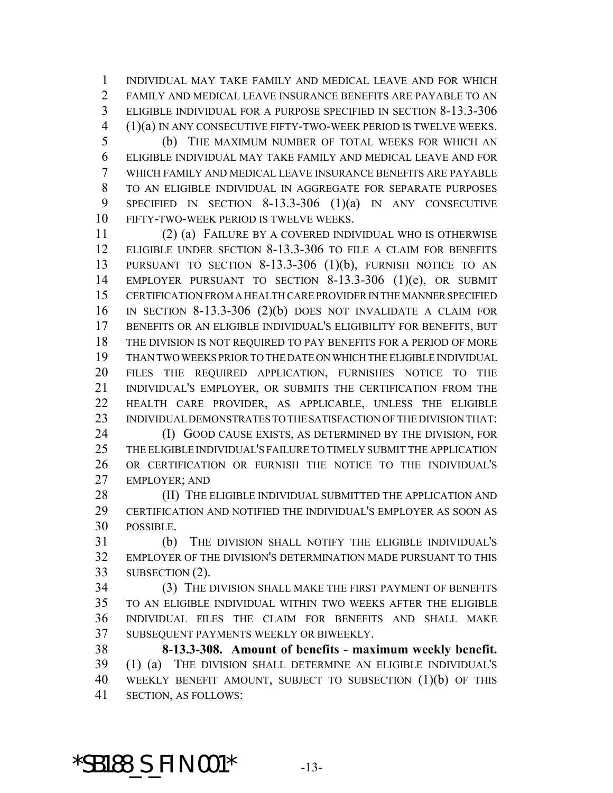INDIVIDUAL MAY TAKE FAMILY AND MEDICAL LEAVE AND FOR WHICH FAMILY AND MEDICAL LEAVE INSURANCE BENEFITS ARE PAYABLE TO AN ELIGIBLE INDIVIDUAL FOR A PURPOSE SPECIFIED IN SECTION 8-13.3-306 (1)(a) IN ANY CONSECUTIVE FIFTY-TWO-WEEK PERIOD IS TWELVE WEEKS.

 (b) THE MAXIMUM NUMBER OF TOTAL WEEKS FOR WHICH AN ELIGIBLE INDIVIDUAL MAY TAKE FAMILY AND MEDICAL LEAVE AND FOR WHICH FAMILY AND MEDICAL LEAVE INSURANCE BENEFITS ARE PAYABLE TO AN ELIGIBLE INDIVIDUAL IN AGGREGATE FOR SEPARATE PURPOSES SPECIFIED IN SECTION 8-13.3-306 (1)(a) IN ANY CONSECUTIVE FIFTY-TWO-WEEK PERIOD IS TWELVE WEEKS.

 (2) (a) FAILURE BY A COVERED INDIVIDUAL WHO IS OTHERWISE ELIGIBLE UNDER SECTION 8-13.3-306 TO FILE A CLAIM FOR BENEFITS PURSUANT TO SECTION 8-13.3-306 (1)(b), FURNISH NOTICE TO AN EMPLOYER PURSUANT TO SECTION 8-13.3-306 (1)(e), OR SUBMIT CERTIFICATION FROM A HEALTH CARE PROVIDER IN THE MANNER SPECIFIED IN SECTION 8-13.3-306 (2)(b) DOES NOT INVALIDATE A CLAIM FOR BENEFITS OR AN ELIGIBLE INDIVIDUAL'S ELIGIBILITY FOR BENEFITS, BUT THE DIVISION IS NOT REQUIRED TO PAY BENEFITS FOR A PERIOD OF MORE THAN TWO WEEKS PRIOR TO THE DATE ON WHICH THE ELIGIBLE INDIVIDUAL FILES THE REQUIRED APPLICATION, FURNISHES NOTICE TO THE INDIVIDUAL'S EMPLOYER, OR SUBMITS THE CERTIFICATION FROM THE HEALTH CARE PROVIDER, AS APPLICABLE, UNLESS THE ELIGIBLE INDIVIDUAL DEMONSTRATES TO THE SATISFACTION OF THE DIVISION THAT:

**(I) GOOD CAUSE EXISTS, AS DETERMINED BY THE DIVISION, FOR**  THE ELIGIBLE INDIVIDUAL'S FAILURE TO TIMELY SUBMIT THE APPLICATION OR CERTIFICATION OR FURNISH THE NOTICE TO THE INDIVIDUAL'S EMPLOYER; AND

28 (II) THE ELIGIBLE INDIVIDUAL SUBMITTED THE APPLICATION AND CERTIFICATION AND NOTIFIED THE INDIVIDUAL'S EMPLOYER AS SOON AS POSSIBLE.

 (b) THE DIVISION SHALL NOTIFY THE ELIGIBLE INDIVIDUAL'S EMPLOYER OF THE DIVISION'S DETERMINATION MADE PURSUANT TO THIS SUBSECTION (2).

 (3) THE DIVISION SHALL MAKE THE FIRST PAYMENT OF BENEFITS TO AN ELIGIBLE INDIVIDUAL WITHIN TWO WEEKS AFTER THE ELIGIBLE INDIVIDUAL FILES THE CLAIM FOR BENEFITS AND SHALL MAKE SUBSEQUENT PAYMENTS WEEKLY OR BIWEEKLY.

 **8-13.3-308. Amount of benefits - maximum weekly benefit.** (1) (a) THE DIVISION SHALL DETERMINE AN ELIGIBLE INDIVIDUAL'S WEEKLY BENEFIT AMOUNT, SUBJECT TO SUBSECTION (1)(b) OF THIS SECTION, AS FOLLOWS:

\*SB188\_S\_FIN.001\* -13-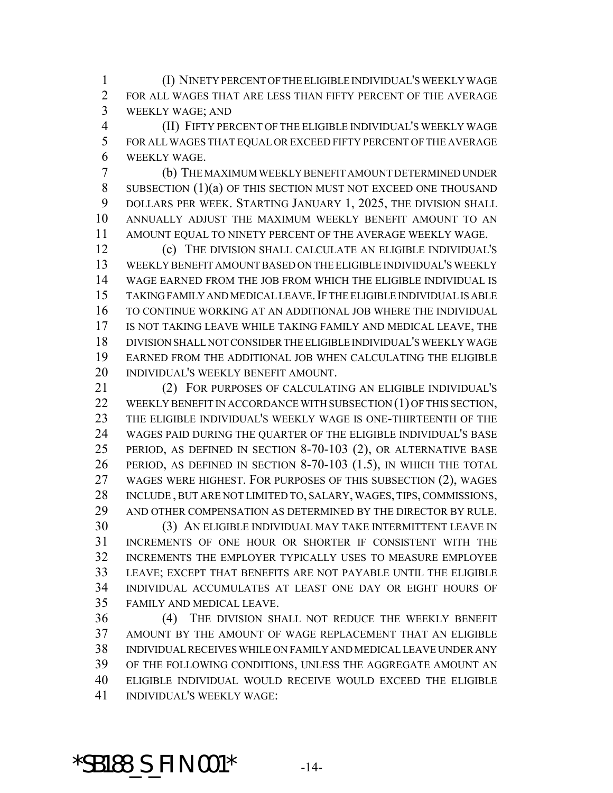(I) NINETY PERCENT OF THE ELIGIBLE INDIVIDUAL'S WEEKLY WAGE FOR ALL WAGES THAT ARE LESS THAN FIFTY PERCENT OF THE AVERAGE WEEKLY WAGE; AND

 (II) FIFTY PERCENT OF THE ELIGIBLE INDIVIDUAL'S WEEKLY WAGE FOR ALL WAGES THAT EQUAL OR EXCEED FIFTY PERCENT OF THE AVERAGE WEEKLY WAGE.

 (b) THE MAXIMUM WEEKLY BENEFIT AMOUNT DETERMINED UNDER SUBSECTION (1)(a) OF THIS SECTION MUST NOT EXCEED ONE THOUSAND DOLLARS PER WEEK. STARTING JANUARY 1, 2025, THE DIVISION SHALL ANNUALLY ADJUST THE MAXIMUM WEEKLY BENEFIT AMOUNT TO AN AMOUNT EQUAL TO NINETY PERCENT OF THE AVERAGE WEEKLY WAGE.

 (c) THE DIVISION SHALL CALCULATE AN ELIGIBLE INDIVIDUAL'S WEEKLY BENEFIT AMOUNT BASED ON THE ELIGIBLE INDIVIDUAL'S WEEKLY WAGE EARNED FROM THE JOB FROM WHICH THE ELIGIBLE INDIVIDUAL IS TAKING FAMILY AND MEDICAL LEAVE.IF THE ELIGIBLE INDIVIDUAL IS ABLE TO CONTINUE WORKING AT AN ADDITIONAL JOB WHERE THE INDIVIDUAL IS NOT TAKING LEAVE WHILE TAKING FAMILY AND MEDICAL LEAVE, THE DIVISION SHALL NOT CONSIDER THE ELIGIBLE INDIVIDUAL'S WEEKLY WAGE EARNED FROM THE ADDITIONAL JOB WHEN CALCULATING THE ELIGIBLE INDIVIDUAL'S WEEKLY BENEFIT AMOUNT.

 (2) FOR PURPOSES OF CALCULATING AN ELIGIBLE INDIVIDUAL'S 22 WEEKLY BENEFIT IN ACCORDANCE WITH SUBSECTION (1) OF THIS SECTION, THE ELIGIBLE INDIVIDUAL'S WEEKLY WAGE IS ONE-THIRTEENTH OF THE WAGES PAID DURING THE QUARTER OF THE ELIGIBLE INDIVIDUAL'S BASE PERIOD, AS DEFINED IN SECTION 8-70-103 (2), OR ALTERNATIVE BASE PERIOD, AS DEFINED IN SECTION 8-70-103 (1.5), IN WHICH THE TOTAL WAGES WERE HIGHEST. FOR PURPOSES OF THIS SUBSECTION (2), WAGES INCLUDE , BUT ARE NOT LIMITED TO, SALARY, WAGES, TIPS, COMMISSIONS, AND OTHER COMPENSATION AS DETERMINED BY THE DIRECTOR BY RULE. (3) AN ELIGIBLE INDIVIDUAL MAY TAKE INTERMITTENT LEAVE IN

 INCREMENTS OF ONE HOUR OR SHORTER IF CONSISTENT WITH THE INCREMENTS THE EMPLOYER TYPICALLY USES TO MEASURE EMPLOYEE LEAVE; EXCEPT THAT BENEFITS ARE NOT PAYABLE UNTIL THE ELIGIBLE INDIVIDUAL ACCUMULATES AT LEAST ONE DAY OR EIGHT HOURS OF FAMILY AND MEDICAL LEAVE.

 (4) THE DIVISION SHALL NOT REDUCE THE WEEKLY BENEFIT AMOUNT BY THE AMOUNT OF WAGE REPLACEMENT THAT AN ELIGIBLE INDIVIDUAL RECEIVES WHILE ON FAMILY AND MEDICAL LEAVE UNDER ANY OF THE FOLLOWING CONDITIONS, UNLESS THE AGGREGATE AMOUNT AN ELIGIBLE INDIVIDUAL WOULD RECEIVE WOULD EXCEED THE ELIGIBLE INDIVIDUAL'S WEEKLY WAGE:

#### \*SB188\_S\_FIN.001\* -14-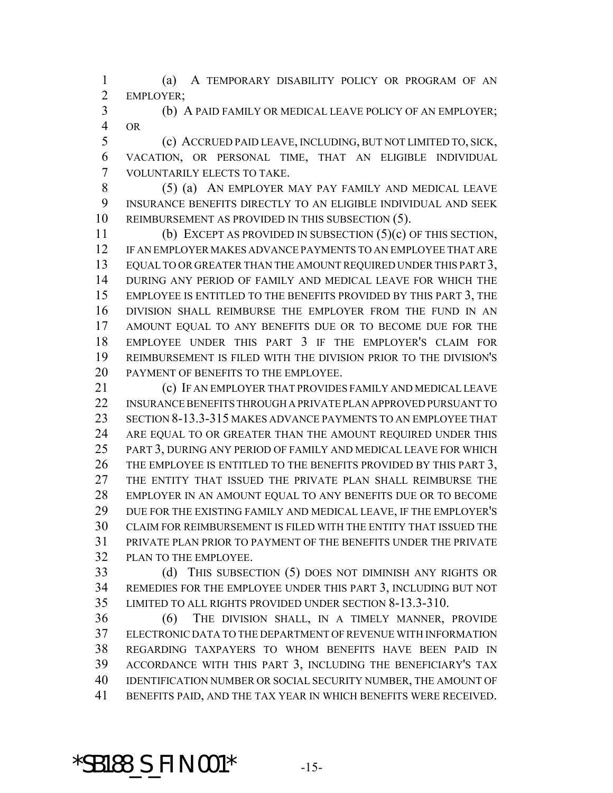(a) A TEMPORARY DISABILITY POLICY OR PROGRAM OF AN EMPLOYER;

 (b) A PAID FAMILY OR MEDICAL LEAVE POLICY OF AN EMPLOYER; OR

 (c) ACCRUED PAID LEAVE, INCLUDING, BUT NOT LIMITED TO, SICK, VACATION, OR PERSONAL TIME, THAT AN ELIGIBLE INDIVIDUAL VOLUNTARILY ELECTS TO TAKE.

 (5) (a) AN EMPLOYER MAY PAY FAMILY AND MEDICAL LEAVE INSURANCE BENEFITS DIRECTLY TO AN ELIGIBLE INDIVIDUAL AND SEEK REIMBURSEMENT AS PROVIDED IN THIS SUBSECTION (5).

 (b) EXCEPT AS PROVIDED IN SUBSECTION (5)(c) OF THIS SECTION, IF AN EMPLOYER MAKES ADVANCE PAYMENTS TO AN EMPLOYEE THAT ARE 13 EQUAL TO OR GREATER THAN THE AMOUNT REQUIRED UNDER THIS PART 3, DURING ANY PERIOD OF FAMILY AND MEDICAL LEAVE FOR WHICH THE 15 EMPLOYEE IS ENTITLED TO THE BENEFITS PROVIDED BY THIS PART 3, THE DIVISION SHALL REIMBURSE THE EMPLOYER FROM THE FUND IN AN AMOUNT EQUAL TO ANY BENEFITS DUE OR TO BECOME DUE FOR THE EMPLOYEE UNDER THIS PART 3 IF THE EMPLOYER'S CLAIM FOR REIMBURSEMENT IS FILED WITH THE DIVISION PRIOR TO THE DIVISION'S PAYMENT OF BENEFITS TO THE EMPLOYEE.

 (c) IF AN EMPLOYER THAT PROVIDES FAMILY AND MEDICAL LEAVE INSURANCE BENEFITS THROUGH A PRIVATE PLAN APPROVED PURSUANT TO SECTION 8-13.3-315 MAKES ADVANCE PAYMENTS TO AN EMPLOYEE THAT 24 ARE EQUAL TO OR GREATER THAN THE AMOUNT REQUIRED UNDER THIS PART 3, DURING ANY PERIOD OF FAMILY AND MEDICAL LEAVE FOR WHICH 26 THE EMPLOYEE IS ENTITLED TO THE BENEFITS PROVIDED BY THIS PART 3, THE ENTITY THAT ISSUED THE PRIVATE PLAN SHALL REIMBURSE THE EMPLOYER IN AN AMOUNT EQUAL TO ANY BENEFITS DUE OR TO BECOME DUE FOR THE EXISTING FAMILY AND MEDICAL LEAVE, IF THE EMPLOYER'S CLAIM FOR REIMBURSEMENT IS FILED WITH THE ENTITY THAT ISSUED THE PRIVATE PLAN PRIOR TO PAYMENT OF THE BENEFITS UNDER THE PRIVATE PLAN TO THE EMPLOYEE.

 (d) THIS SUBSECTION (5) DOES NOT DIMINISH ANY RIGHTS OR REMEDIES FOR THE EMPLOYEE UNDER THIS PART 3, INCLUDING BUT NOT LIMITED TO ALL RIGHTS PROVIDED UNDER SECTION 8-13.3-310.

 (6) THE DIVISION SHALL, IN A TIMELY MANNER, PROVIDE ELECTRONIC DATA TO THE DEPARTMENT OF REVENUE WITH INFORMATION REGARDING TAXPAYERS TO WHOM BENEFITS HAVE BEEN PAID IN ACCORDANCE WITH THIS PART 3, INCLUDING THE BENEFICIARY'S TAX IDENTIFICATION NUMBER OR SOCIAL SECURITY NUMBER, THE AMOUNT OF BENEFITS PAID, AND THE TAX YEAR IN WHICH BENEFITS WERE RECEIVED.

### \*SB188\_S\_FIN.001\* -15-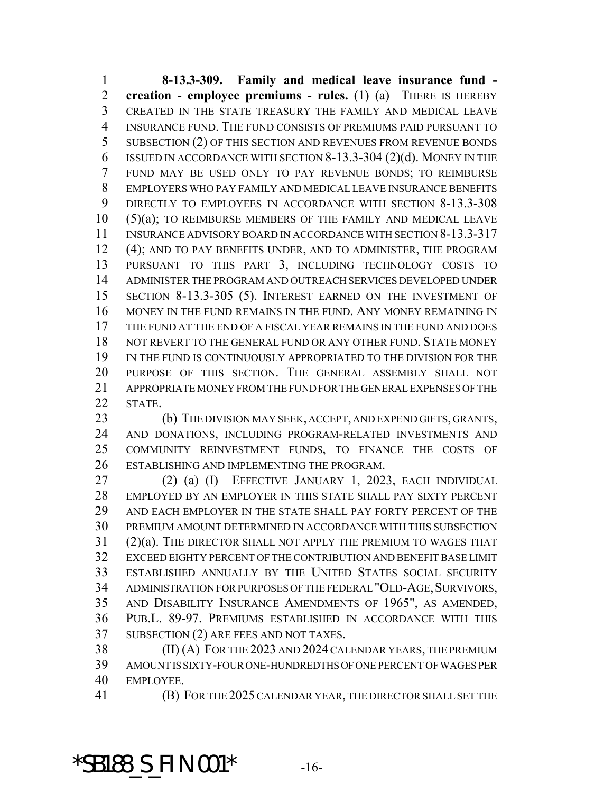**8-13.3-309. Family and medical leave insurance fund - creation - employee premiums - rules.** (1) (a) THERE IS HEREBY CREATED IN THE STATE TREASURY THE FAMILY AND MEDICAL LEAVE INSURANCE FUND. THE FUND CONSISTS OF PREMIUMS PAID PURSUANT TO SUBSECTION (2) OF THIS SECTION AND REVENUES FROM REVENUE BONDS ISSUED IN ACCORDANCE WITH SECTION 8-13.3-304 (2)(d). MONEY IN THE FUND MAY BE USED ONLY TO PAY REVENUE BONDS; TO REIMBURSE EMPLOYERS WHO PAY FAMILY AND MEDICAL LEAVE INSURANCE BENEFITS DIRECTLY TO EMPLOYEES IN ACCORDANCE WITH SECTION 8-13.3-308 (5)(a); TO REIMBURSE MEMBERS OF THE FAMILY AND MEDICAL LEAVE INSURANCE ADVISORY BOARD IN ACCORDANCE WITH SECTION 8-13.3-317 (4); AND TO PAY BENEFITS UNDER, AND TO ADMINISTER, THE PROGRAM PURSUANT TO THIS PART 3, INCLUDING TECHNOLOGY COSTS TO ADMINISTER THE PROGRAM AND OUTREACH SERVICES DEVELOPED UNDER SECTION 8-13.3-305 (5). INTEREST EARNED ON THE INVESTMENT OF MONEY IN THE FUND REMAINS IN THE FUND. ANY MONEY REMAINING IN THE FUND AT THE END OF A FISCAL YEAR REMAINS IN THE FUND AND DOES 18 NOT REVERT TO THE GENERAL FUND OR ANY OTHER FUND. STATE MONEY IN THE FUND IS CONTINUOUSLY APPROPRIATED TO THE DIVISION FOR THE PURPOSE OF THIS SECTION. THE GENERAL ASSEMBLY SHALL NOT APPROPRIATE MONEY FROM THE FUND FOR THE GENERAL EXPENSES OF THE STATE.

 (b) THE DIVISION MAY SEEK, ACCEPT, AND EXPEND GIFTS, GRANTS, AND DONATIONS, INCLUDING PROGRAM-RELATED INVESTMENTS AND COMMUNITY REINVESTMENT FUNDS, TO FINANCE THE COSTS OF ESTABLISHING AND IMPLEMENTING THE PROGRAM.

 (2) (a) (I) EFFECTIVE JANUARY 1, 2023, EACH INDIVIDUAL EMPLOYED BY AN EMPLOYER IN THIS STATE SHALL PAY SIXTY PERCENT AND EACH EMPLOYER IN THE STATE SHALL PAY FORTY PERCENT OF THE PREMIUM AMOUNT DETERMINED IN ACCORDANCE WITH THIS SUBSECTION (2)(a). THE DIRECTOR SHALL NOT APPLY THE PREMIUM TO WAGES THAT EXCEED EIGHTY PERCENT OF THE CONTRIBUTION AND BENEFIT BASE LIMIT ESTABLISHED ANNUALLY BY THE UNITED STATES SOCIAL SECURITY 34 ADMINISTRATION FOR PURPOSES OF THE FEDERAL "OLD-AGE, SURVIVORS, AND DISABILITY INSURANCE AMENDMENTS OF 1965", AS AMENDED, PUB.L. 89-97. PREMIUMS ESTABLISHED IN ACCORDANCE WITH THIS SUBSECTION (2) ARE FEES AND NOT TAXES.

 (II) (A) FOR THE 2023 AND 2024 CALENDAR YEARS, THE PREMIUM AMOUNT IS SIXTY-FOUR ONE-HUNDREDTHS OF ONE PERCENT OF WAGES PER EMPLOYEE.

(B) FOR THE 2025 CALENDAR YEAR, THE DIRECTOR SHALL SET THE

### \*SB188\_S\_FIN.001\* -16-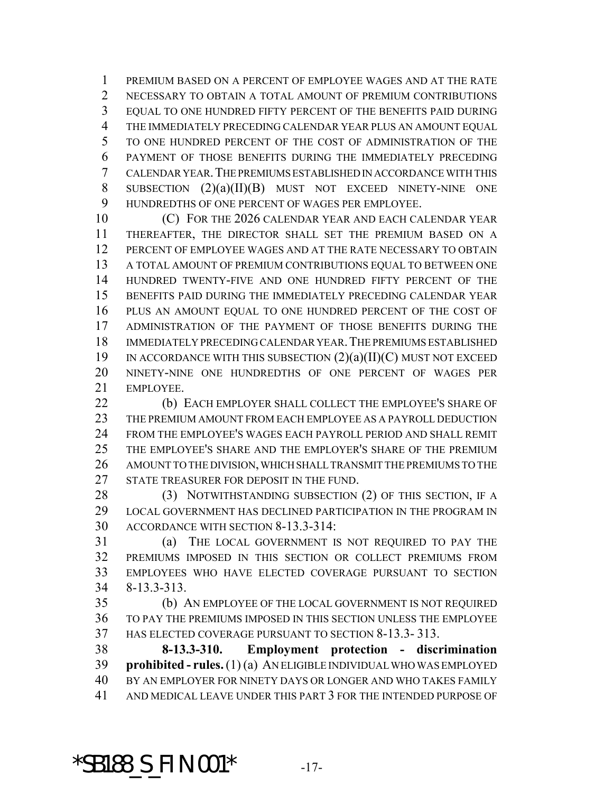PREMIUM BASED ON A PERCENT OF EMPLOYEE WAGES AND AT THE RATE NECESSARY TO OBTAIN A TOTAL AMOUNT OF PREMIUM CONTRIBUTIONS EQUAL TO ONE HUNDRED FIFTY PERCENT OF THE BENEFITS PAID DURING THE IMMEDIATELY PRECEDING CALENDAR YEAR PLUS AN AMOUNT EQUAL TO ONE HUNDRED PERCENT OF THE COST OF ADMINISTRATION OF THE PAYMENT OF THOSE BENEFITS DURING THE IMMEDIATELY PRECEDING CALENDAR YEAR.THE PREMIUMS ESTABLISHED IN ACCORDANCE WITH THIS SUBSECTION (2)(a)(II)(B) MUST NOT EXCEED NINETY-NINE ONE HUNDREDTHS OF ONE PERCENT OF WAGES PER EMPLOYEE.

**(C) FOR THE 2026 CALENDAR YEAR AND EACH CALENDAR YEAR**  THEREAFTER, THE DIRECTOR SHALL SET THE PREMIUM BASED ON A PERCENT OF EMPLOYEE WAGES AND AT THE RATE NECESSARY TO OBTAIN A TOTAL AMOUNT OF PREMIUM CONTRIBUTIONS EQUAL TO BETWEEN ONE HUNDRED TWENTY-FIVE AND ONE HUNDRED FIFTY PERCENT OF THE BENEFITS PAID DURING THE IMMEDIATELY PRECEDING CALENDAR YEAR PLUS AN AMOUNT EQUAL TO ONE HUNDRED PERCENT OF THE COST OF ADMINISTRATION OF THE PAYMENT OF THOSE BENEFITS DURING THE IMMEDIATELY PRECEDING CALENDAR YEAR.THE PREMIUMS ESTABLISHED IN ACCORDANCE WITH THIS SUBSECTION (2)(a)(II)(C) MUST NOT EXCEED NINETY-NINE ONE HUNDREDTHS OF ONE PERCENT OF WAGES PER EMPLOYEE.

 (b) EACH EMPLOYER SHALL COLLECT THE EMPLOYEE'S SHARE OF THE PREMIUM AMOUNT FROM EACH EMPLOYEE AS A PAYROLL DEDUCTION FROM THE EMPLOYEE'S WAGES EACH PAYROLL PERIOD AND SHALL REMIT THE EMPLOYEE'S SHARE AND THE EMPLOYER'S SHARE OF THE PREMIUM AMOUNT TO THE DIVISION, WHICH SHALL TRANSMIT THE PREMIUMS TO THE 27 STATE TREASURER FOR DEPOSIT IN THE FUND.

28 (3) NOTWITHSTANDING SUBSECTION (2) OF THIS SECTION, IF A LOCAL GOVERNMENT HAS DECLINED PARTICIPATION IN THE PROGRAM IN ACCORDANCE WITH SECTION 8-13.3-314:

 (a) THE LOCAL GOVERNMENT IS NOT REQUIRED TO PAY THE PREMIUMS IMPOSED IN THIS SECTION OR COLLECT PREMIUMS FROM EMPLOYEES WHO HAVE ELECTED COVERAGE PURSUANT TO SECTION 8-13.3-313.

 (b) AN EMPLOYEE OF THE LOCAL GOVERNMENT IS NOT REQUIRED TO PAY THE PREMIUMS IMPOSED IN THIS SECTION UNLESS THE EMPLOYEE HAS ELECTED COVERAGE PURSUANT TO SECTION 8-13.3- 313.

 **8-13.3-310. Employment protection - discrimination prohibited - rules.** (1) (a) AN ELIGIBLE INDIVIDUAL WHO WAS EMPLOYED BY AN EMPLOYER FOR NINETY DAYS OR LONGER AND WHO TAKES FAMILY AND MEDICAL LEAVE UNDER THIS PART 3 FOR THE INTENDED PURPOSE OF

\*SB188\_S\_FIN.001\* -17-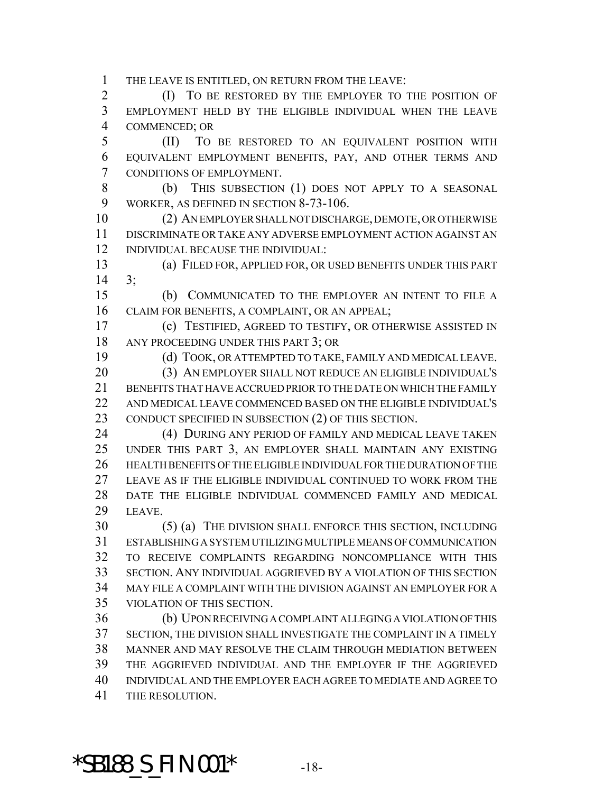THE LEAVE IS ENTITLED, ON RETURN FROM THE LEAVE:

 (I) TO BE RESTORED BY THE EMPLOYER TO THE POSITION OF EMPLOYMENT HELD BY THE ELIGIBLE INDIVIDUAL WHEN THE LEAVE COMMENCED; OR

 (II) TO BE RESTORED TO AN EQUIVALENT POSITION WITH EQUIVALENT EMPLOYMENT BENEFITS, PAY, AND OTHER TERMS AND CONDITIONS OF EMPLOYMENT.

8 (b) THIS SUBSECTION (1) DOES NOT APPLY TO A SEASONAL WORKER, AS DEFINED IN SECTION 8-73-106.

 (2) AN EMPLOYER SHALL NOT DISCHARGE, DEMOTE, OR OTHERWISE DISCRIMINATE OR TAKE ANY ADVERSE EMPLOYMENT ACTION AGAINST AN INDIVIDUAL BECAUSE THE INDIVIDUAL:

 (a) FILED FOR, APPLIED FOR, OR USED BENEFITS UNDER THIS PART 3;

 (b) COMMUNICATED TO THE EMPLOYER AN INTENT TO FILE A CLAIM FOR BENEFITS, A COMPLAINT, OR AN APPEAL;

 (c) TESTIFIED, AGREED TO TESTIFY, OR OTHERWISE ASSISTED IN ANY PROCEEDING UNDER THIS PART 3; OR

(d) TOOK, OR ATTEMPTED TO TAKE, FAMILY AND MEDICAL LEAVE.

 (3) AN EMPLOYER SHALL NOT REDUCE AN ELIGIBLE INDIVIDUAL'S BENEFITS THAT HAVE ACCRUED PRIOR TO THE DATE ON WHICH THE FAMILY AND MEDICAL LEAVE COMMENCED BASED ON THE ELIGIBLE INDIVIDUAL'S CONDUCT SPECIFIED IN SUBSECTION (2) OF THIS SECTION.

 (4) DURING ANY PERIOD OF FAMILY AND MEDICAL LEAVE TAKEN UNDER THIS PART 3, AN EMPLOYER SHALL MAINTAIN ANY EXISTING HEALTH BENEFITS OF THE ELIGIBLE INDIVIDUAL FOR THE DURATION OF THE LEAVE AS IF THE ELIGIBLE INDIVIDUAL CONTINUED TO WORK FROM THE DATE THE ELIGIBLE INDIVIDUAL COMMENCED FAMILY AND MEDICAL LEAVE.

 (5) (a) THE DIVISION SHALL ENFORCE THIS SECTION, INCLUDING ESTABLISHING A SYSTEM UTILIZING MULTIPLE MEANS OF COMMUNICATION TO RECEIVE COMPLAINTS REGARDING NONCOMPLIANCE WITH THIS SECTION. ANY INDIVIDUAL AGGRIEVED BY A VIOLATION OF THIS SECTION MAY FILE A COMPLAINT WITH THE DIVISION AGAINST AN EMPLOYER FOR A VIOLATION OF THIS SECTION.

 (b) UPON RECEIVING A COMPLAINT ALLEGING A VIOLATION OF THIS SECTION, THE DIVISION SHALL INVESTIGATE THE COMPLAINT IN A TIMELY MANNER AND MAY RESOLVE THE CLAIM THROUGH MEDIATION BETWEEN THE AGGRIEVED INDIVIDUAL AND THE EMPLOYER IF THE AGGRIEVED INDIVIDUAL AND THE EMPLOYER EACH AGREE TO MEDIATE AND AGREE TO THE RESOLUTION.

### \*SB188\_S\_FIN.001\* -18-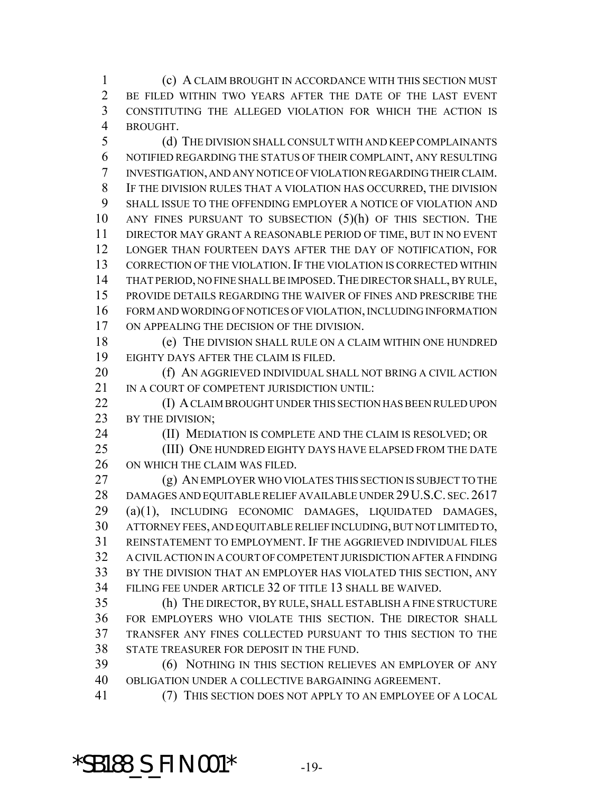(c) A CLAIM BROUGHT IN ACCORDANCE WITH THIS SECTION MUST BE FILED WITHIN TWO YEARS AFTER THE DATE OF THE LAST EVENT CONSTITUTING THE ALLEGED VIOLATION FOR WHICH THE ACTION IS BROUGHT.

 (d) THE DIVISION SHALL CONSULT WITH AND KEEP COMPLAINANTS NOTIFIED REGARDING THE STATUS OF THEIR COMPLAINT, ANY RESULTING INVESTIGATION, AND ANY NOTICE OF VIOLATION REGARDING THEIR CLAIM. IF THE DIVISION RULES THAT A VIOLATION HAS OCCURRED, THE DIVISION SHALL ISSUE TO THE OFFENDING EMPLOYER A NOTICE OF VIOLATION AND ANY FINES PURSUANT TO SUBSECTION (5)(h) OF THIS SECTION. THE DIRECTOR MAY GRANT A REASONABLE PERIOD OF TIME, BUT IN NO EVENT LONGER THAN FOURTEEN DAYS AFTER THE DAY OF NOTIFICATION, FOR 13 CORRECTION OF THE VIOLATION. IF THE VIOLATION IS CORRECTED WITHIN THAT PERIOD, NO FINE SHALL BE IMPOSED.THE DIRECTOR SHALL, BY RULE, PROVIDE DETAILS REGARDING THE WAIVER OF FINES AND PRESCRIBE THE FORM AND WORDING OF NOTICES OF VIOLATION, INCLUDING INFORMATION ON APPEALING THE DECISION OF THE DIVISION.

 (e) THE DIVISION SHALL RULE ON A CLAIM WITHIN ONE HUNDRED EIGHTY DAYS AFTER THE CLAIM IS FILED.

20 (f) AN AGGRIEVED INDIVIDUAL SHALL NOT BRING A CIVIL ACTION 21 IN A COURT OF COMPETENT JURISDICTION UNTIL:

**(I) A CLAIM BROUGHT UNDER THIS SECTION HAS BEEN RULED UPON** 23 BY THE DIVISION;

(II) MEDIATION IS COMPLETE AND THE CLAIM IS RESOLVED; OR

 (III) ONE HUNDRED EIGHTY DAYS HAVE ELAPSED FROM THE DATE ON WHICH THE CLAIM WAS FILED.

 (g) AN EMPLOYER WHO VIOLATES THIS SECTION IS SUBJECT TO THE 28 DAMAGES AND EQUITABLE RELIEF AVAILABLE UNDER 29 U.S.C. SEC. 2617 (a)(1), INCLUDING ECONOMIC DAMAGES, LIQUIDATED DAMAGES, ATTORNEY FEES, AND EQUITABLE RELIEF INCLUDING, BUT NOT LIMITED TO, REINSTATEMENT TO EMPLOYMENT. IF THE AGGRIEVED INDIVIDUAL FILES A CIVIL ACTION IN A COURT OF COMPETENT JURISDICTION AFTER A FINDING BY THE DIVISION THAT AN EMPLOYER HAS VIOLATED THIS SECTION, ANY FILING FEE UNDER ARTICLE 32 OF TITLE 13 SHALL BE WAIVED.

 (h) THE DIRECTOR, BY RULE, SHALL ESTABLISH A FINE STRUCTURE FOR EMPLOYERS WHO VIOLATE THIS SECTION. THE DIRECTOR SHALL TRANSFER ANY FINES COLLECTED PURSUANT TO THIS SECTION TO THE STATE TREASURER FOR DEPOSIT IN THE FUND.

 (6) NOTHING IN THIS SECTION RELIEVES AN EMPLOYER OF ANY OBLIGATION UNDER A COLLECTIVE BARGAINING AGREEMENT.

(7) THIS SECTION DOES NOT APPLY TO AN EMPLOYEE OF A LOCAL

### **\*SB188\_S\_FIN.001\*** -19-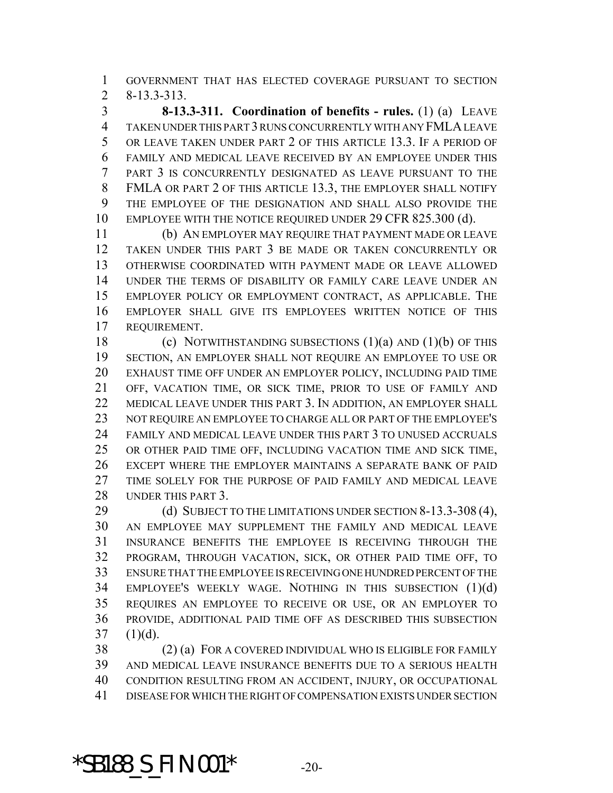GOVERNMENT THAT HAS ELECTED COVERAGE PURSUANT TO SECTION 8-13.3-313.

 **8-13.3-311. Coordination of benefits - rules.** (1) (a) LEAVE TAKEN UNDER THIS PART 3 RUNS CONCURRENTLY WITH ANY FMLA LEAVE OR LEAVE TAKEN UNDER PART 2 OF THIS ARTICLE 13.3. IF A PERIOD OF FAMILY AND MEDICAL LEAVE RECEIVED BY AN EMPLOYEE UNDER THIS PART 3 IS CONCURRENTLY DESIGNATED AS LEAVE PURSUANT TO THE FMLA OR PART 2 OF THIS ARTICLE 13.3, THE EMPLOYER SHALL NOTIFY THE EMPLOYEE OF THE DESIGNATION AND SHALL ALSO PROVIDE THE 10 EMPLOYEE WITH THE NOTICE REQUIRED UNDER 29 CFR 825.300 (d).

 (b) AN EMPLOYER MAY REQUIRE THAT PAYMENT MADE OR LEAVE TAKEN UNDER THIS PART 3 BE MADE OR TAKEN CONCURRENTLY OR OTHERWISE COORDINATED WITH PAYMENT MADE OR LEAVE ALLOWED UNDER THE TERMS OF DISABILITY OR FAMILY CARE LEAVE UNDER AN EMPLOYER POLICY OR EMPLOYMENT CONTRACT, AS APPLICABLE. THE EMPLOYER SHALL GIVE ITS EMPLOYEES WRITTEN NOTICE OF THIS REQUIREMENT.

 (c) NOTWITHSTANDING SUBSECTIONS (1)(a) AND (1)(b) OF THIS SECTION, AN EMPLOYER SHALL NOT REQUIRE AN EMPLOYEE TO USE OR EXHAUST TIME OFF UNDER AN EMPLOYER POLICY, INCLUDING PAID TIME OFF, VACATION TIME, OR SICK TIME, PRIOR TO USE OF FAMILY AND MEDICAL LEAVE UNDER THIS PART 3. IN ADDITION, AN EMPLOYER SHALL NOT REQUIRE AN EMPLOYEE TO CHARGE ALL OR PART OF THE EMPLOYEE'S FAMILY AND MEDICAL LEAVE UNDER THIS PART 3 TO UNUSED ACCRUALS OR OTHER PAID TIME OFF, INCLUDING VACATION TIME AND SICK TIME, EXCEPT WHERE THE EMPLOYER MAINTAINS A SEPARATE BANK OF PAID TIME SOLELY FOR THE PURPOSE OF PAID FAMILY AND MEDICAL LEAVE UNDER THIS PART 3.

29 (d) SUBJECT TO THE LIMITATIONS UNDER SECTION 8-13.3-308 (4), AN EMPLOYEE MAY SUPPLEMENT THE FAMILY AND MEDICAL LEAVE INSURANCE BENEFITS THE EMPLOYEE IS RECEIVING THROUGH THE PROGRAM, THROUGH VACATION, SICK, OR OTHER PAID TIME OFF, TO ENSURE THAT THE EMPLOYEE IS RECEIVING ONE HUNDRED PERCENT OF THE EMPLOYEE'S WEEKLY WAGE. NOTHING IN THIS SUBSECTION (1)(d) REQUIRES AN EMPLOYEE TO RECEIVE OR USE, OR AN EMPLOYER TO PROVIDE, ADDITIONAL PAID TIME OFF AS DESCRIBED THIS SUBSECTION (1)(d).

 (2) (a) FOR A COVERED INDIVIDUAL WHO IS ELIGIBLE FOR FAMILY AND MEDICAL LEAVE INSURANCE BENEFITS DUE TO A SERIOUS HEALTH CONDITION RESULTING FROM AN ACCIDENT, INJURY, OR OCCUPATIONAL DISEASE FOR WHICH THE RIGHT OF COMPENSATION EXISTS UNDER SECTION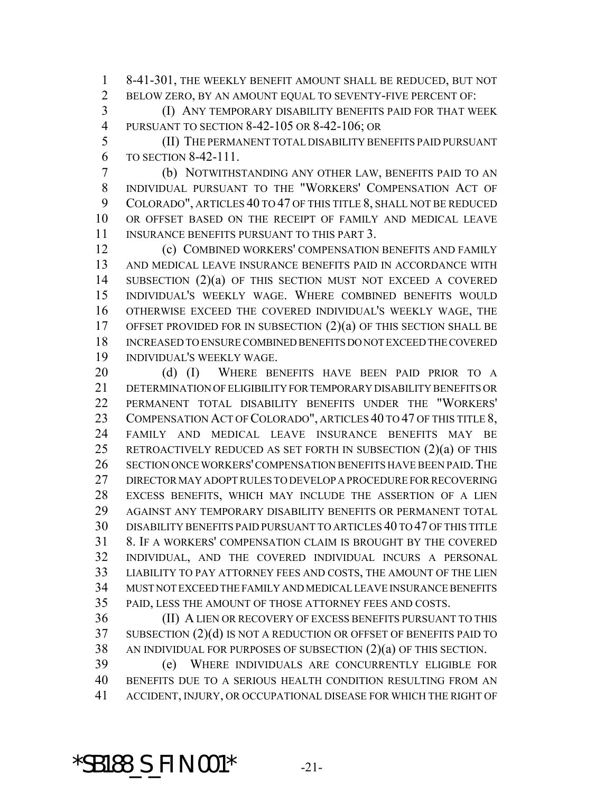8-41-301, THE WEEKLY BENEFIT AMOUNT SHALL BE REDUCED, BUT NOT BELOW ZERO, BY AN AMOUNT EQUAL TO SEVENTY-FIVE PERCENT OF:

 (I) ANY TEMPORARY DISABILITY BENEFITS PAID FOR THAT WEEK PURSUANT TO SECTION 8-42-105 OR 8-42-106; OR

 (II) THE PERMANENT TOTAL DISABILITY BENEFITS PAID PURSUANT TO SECTION 8-42-111.

 (b) NOTWITHSTANDING ANY OTHER LAW, BENEFITS PAID TO AN INDIVIDUAL PURSUANT TO THE "WORKERS' COMPENSATION ACT OF COLORADO", ARTICLES 40 TO 47 OF THIS TITLE 8, SHALL NOT BE REDUCED OR OFFSET BASED ON THE RECEIPT OF FAMILY AND MEDICAL LEAVE 11 INSURANCE BENEFITS PURSUANT TO THIS PART 3.

 (c) COMBINED WORKERS' COMPENSATION BENEFITS AND FAMILY AND MEDICAL LEAVE INSURANCE BENEFITS PAID IN ACCORDANCE WITH SUBSECTION (2)(a) OF THIS SECTION MUST NOT EXCEED A COVERED INDIVIDUAL'S WEEKLY WAGE. WHERE COMBINED BENEFITS WOULD OTHERWISE EXCEED THE COVERED INDIVIDUAL'S WEEKLY WAGE, THE OFFSET PROVIDED FOR IN SUBSECTION (2)(a) OF THIS SECTION SHALL BE INCREASED TO ENSURE COMBINED BENEFITS DO NOT EXCEED THE COVERED INDIVIDUAL'S WEEKLY WAGE.

20 (d) (I) WHERE BENEFITS HAVE BEEN PAID PRIOR TO A DETERMINATION OF ELIGIBILITY FOR TEMPORARY DISABILITY BENEFITS OR PERMANENT TOTAL DISABILITY BENEFITS UNDER THE "WORKERS' 23 COMPENSATION ACT OF COLORADO", ARTICLES 40 TO 47 OF THIS TITLE 8, FAMILY AND MEDICAL LEAVE INSURANCE BENEFITS MAY BE RETROACTIVELY REDUCED AS SET FORTH IN SUBSECTION (2)(a) OF THIS 26 SECTION ONCE WORKERS' COMPENSATION BENEFITS HAVE BEEN PAID. THE DIRECTOR MAY ADOPT RULES TO DEVELOP A PROCEDURE FOR RECOVERING EXCESS BENEFITS, WHICH MAY INCLUDE THE ASSERTION OF A LIEN AGAINST ANY TEMPORARY DISABILITY BENEFITS OR PERMANENT TOTAL DISABILITY BENEFITS PAID PURSUANT TO ARTICLES 40 TO 47 OF THIS TITLE 8. IF A WORKERS' COMPENSATION CLAIM IS BROUGHT BY THE COVERED INDIVIDUAL, AND THE COVERED INDIVIDUAL INCURS A PERSONAL LIABILITY TO PAY ATTORNEY FEES AND COSTS, THE AMOUNT OF THE LIEN MUST NOT EXCEED THE FAMILY AND MEDICAL LEAVE INSURANCE BENEFITS PAID, LESS THE AMOUNT OF THOSE ATTORNEY FEES AND COSTS.

 (II) A LIEN OR RECOVERY OF EXCESS BENEFITS PURSUANT TO THIS SUBSECTION (2)(d) IS NOT A REDUCTION OR OFFSET OF BENEFITS PAID TO AN INDIVIDUAL FOR PURPOSES OF SUBSECTION (2)(a) OF THIS SECTION.

 (e) WHERE INDIVIDUALS ARE CONCURRENTLY ELIGIBLE FOR BENEFITS DUE TO A SERIOUS HEALTH CONDITION RESULTING FROM AN ACCIDENT, INJURY, OR OCCUPATIONAL DISEASE FOR WHICH THE RIGHT OF

### **\*SB188\_S\_FIN.001\*** -21-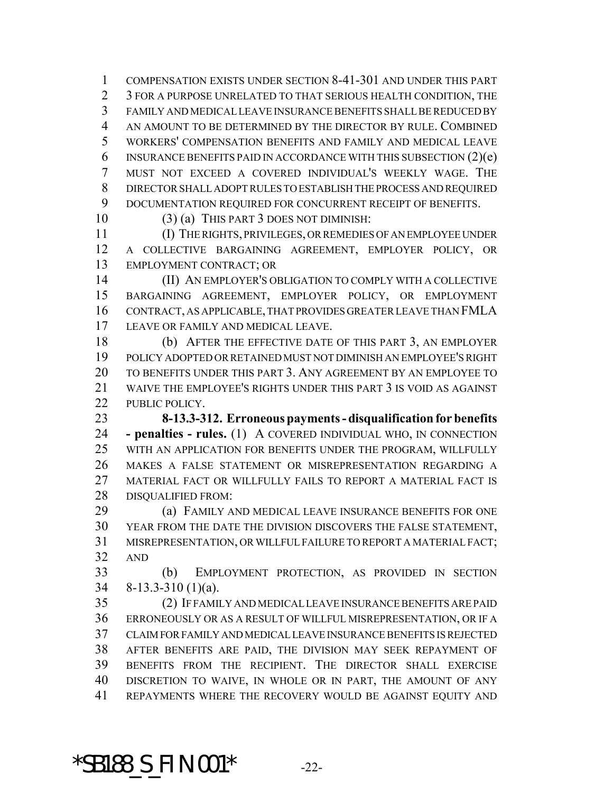COMPENSATION EXISTS UNDER SECTION 8-41-301 AND UNDER THIS PART 2 3 FOR A PURPOSE UNRELATED TO THAT SERIOUS HEALTH CONDITION. THE FAMILY AND MEDICAL LEAVE INSURANCE BENEFITS SHALL BE REDUCED BY AN AMOUNT TO BE DETERMINED BY THE DIRECTOR BY RULE. COMBINED WORKERS' COMPENSATION BENEFITS AND FAMILY AND MEDICAL LEAVE 6 INSURANCE BENEFITS PAID IN ACCORDANCE WITH THIS SUBSECTION  $(2)(e)$  MUST NOT EXCEED A COVERED INDIVIDUAL'S WEEKLY WAGE. THE DIRECTOR SHALL ADOPT RULES TO ESTABLISH THE PROCESS AND REQUIRED DOCUMENTATION REQUIRED FOR CONCURRENT RECEIPT OF BENEFITS.

(3) (a) THIS PART 3 DOES NOT DIMINISH:

 (I) THE RIGHTS, PRIVILEGES, OR REMEDIES OF AN EMPLOYEE UNDER A COLLECTIVE BARGAINING AGREEMENT, EMPLOYER POLICY, OR EMPLOYMENT CONTRACT; OR

 (II) AN EMPLOYER'S OBLIGATION TO COMPLY WITH A COLLECTIVE BARGAINING AGREEMENT, EMPLOYER POLICY, OR EMPLOYMENT CONTRACT, AS APPLICABLE, THAT PROVIDES GREATER LEAVE THAN FMLA LEAVE OR FAMILY AND MEDICAL LEAVE.

 (b) AFTER THE EFFECTIVE DATE OF THIS PART 3, AN EMPLOYER POLICY ADOPTED OR RETAINED MUST NOT DIMINISH AN EMPLOYEE'S RIGHT TO BENEFITS UNDER THIS PART 3. ANY AGREEMENT BY AN EMPLOYEE TO WAIVE THE EMPLOYEE'S RIGHTS UNDER THIS PART 3 IS VOID AS AGAINST 22 PUBLIC POLICY.

 **8-13.3-312. Erroneous payments - disqualification for benefits - penalties - rules.** (1) A COVERED INDIVIDUAL WHO, IN CONNECTION WITH AN APPLICATION FOR BENEFITS UNDER THE PROGRAM, WILLFULLY MAKES A FALSE STATEMENT OR MISREPRESENTATION REGARDING A 27 MATERIAL FACT OR WILLFULLY FAILS TO REPORT A MATERIAL FACT IS DISQUALIFIED FROM:

 (a) FAMILY AND MEDICAL LEAVE INSURANCE BENEFITS FOR ONE YEAR FROM THE DATE THE DIVISION DISCOVERS THE FALSE STATEMENT, MISREPRESENTATION, OR WILLFUL FAILURE TO REPORT A MATERIAL FACT; AND

 (b) EMPLOYMENT PROTECTION, AS PROVIDED IN SECTION 8-13.3-310 (1)(a).

 (2) IF FAMILY AND MEDICAL LEAVE INSURANCE BENEFITS ARE PAID ERRONEOUSLY OR AS A RESULT OF WILLFUL MISREPRESENTATION, OR IF A CLAIM FOR FAMILY AND MEDICAL LEAVE INSURANCE BENEFITS IS REJECTED AFTER BENEFITS ARE PAID, THE DIVISION MAY SEEK REPAYMENT OF BENEFITS FROM THE RECIPIENT. THE DIRECTOR SHALL EXERCISE DISCRETION TO WAIVE, IN WHOLE OR IN PART, THE AMOUNT OF ANY REPAYMENTS WHERE THE RECOVERY WOULD BE AGAINST EQUITY AND

**\*SB188\_S\_FIN.001\*** -22-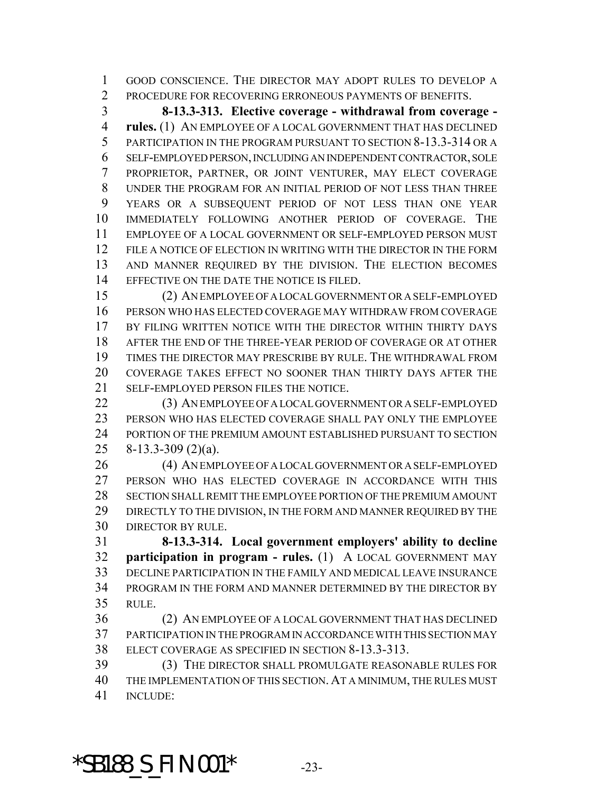GOOD CONSCIENCE. THE DIRECTOR MAY ADOPT RULES TO DEVELOP A PROCEDURE FOR RECOVERING ERRONEOUS PAYMENTS OF BENEFITS.

 **8-13.3-313. Elective coverage - withdrawal from coverage - rules.** (1) AN EMPLOYEE OF A LOCAL GOVERNMENT THAT HAS DECLINED PARTICIPATION IN THE PROGRAM PURSUANT TO SECTION 8-13.3-314 OR A SELF-EMPLOYED PERSON, INCLUDING AN INDEPENDENT CONTRACTOR, SOLE PROPRIETOR, PARTNER, OR JOINT VENTURER, MAY ELECT COVERAGE UNDER THE PROGRAM FOR AN INITIAL PERIOD OF NOT LESS THAN THREE YEARS OR A SUBSEQUENT PERIOD OF NOT LESS THAN ONE YEAR IMMEDIATELY FOLLOWING ANOTHER PERIOD OF COVERAGE. THE EMPLOYEE OF A LOCAL GOVERNMENT OR SELF-EMPLOYED PERSON MUST 12 FILE A NOTICE OF ELECTION IN WRITING WITH THE DIRECTOR IN THE FORM AND MANNER REQUIRED BY THE DIVISION. THE ELECTION BECOMES EFFECTIVE ON THE DATE THE NOTICE IS FILED.

 (2) AN EMPLOYEE OF A LOCAL GOVERNMENT OR A SELF-EMPLOYED PERSON WHO HAS ELECTED COVERAGE MAY WITHDRAW FROM COVERAGE BY FILING WRITTEN NOTICE WITH THE DIRECTOR WITHIN THIRTY DAYS AFTER THE END OF THE THREE-YEAR PERIOD OF COVERAGE OR AT OTHER TIMES THE DIRECTOR MAY PRESCRIBE BY RULE. THE WITHDRAWAL FROM COVERAGE TAKES EFFECT NO SOONER THAN THIRTY DAYS AFTER THE SELF-EMPLOYED PERSON FILES THE NOTICE.

 (3) AN EMPLOYEE OF A LOCAL GOVERNMENT OR A SELF-EMPLOYED PERSON WHO HAS ELECTED COVERAGE SHALL PAY ONLY THE EMPLOYEE PORTION OF THE PREMIUM AMOUNT ESTABLISHED PURSUANT TO SECTION 8-13.3-309 (2)(a).

 (4) AN EMPLOYEE OF A LOCAL GOVERNMENT OR A SELF-EMPLOYED PERSON WHO HAS ELECTED COVERAGE IN ACCORDANCE WITH THIS SECTION SHALL REMIT THE EMPLOYEE PORTION OF THE PREMIUM AMOUNT 29 DIRECTLY TO THE DIVISION, IN THE FORM AND MANNER REQUIRED BY THE DIRECTOR BY RULE.

 **8-13.3-314. Local government employers' ability to decline participation in program - rules.** (1) A LOCAL GOVERNMENT MAY DECLINE PARTICIPATION IN THE FAMILY AND MEDICAL LEAVE INSURANCE PROGRAM IN THE FORM AND MANNER DETERMINED BY THE DIRECTOR BY RULE.

 (2) AN EMPLOYEE OF A LOCAL GOVERNMENT THAT HAS DECLINED PARTICIPATION IN THE PROGRAM IN ACCORDANCE WITH THIS SECTION MAY ELECT COVERAGE AS SPECIFIED IN SECTION 8-13.3-313.

 (3) THE DIRECTOR SHALL PROMULGATE REASONABLE RULES FOR THE IMPLEMENTATION OF THIS SECTION. AT A MINIMUM, THE RULES MUST **INCLUDE:** 

**\*SB188\_S\_FIN.001\*** -23-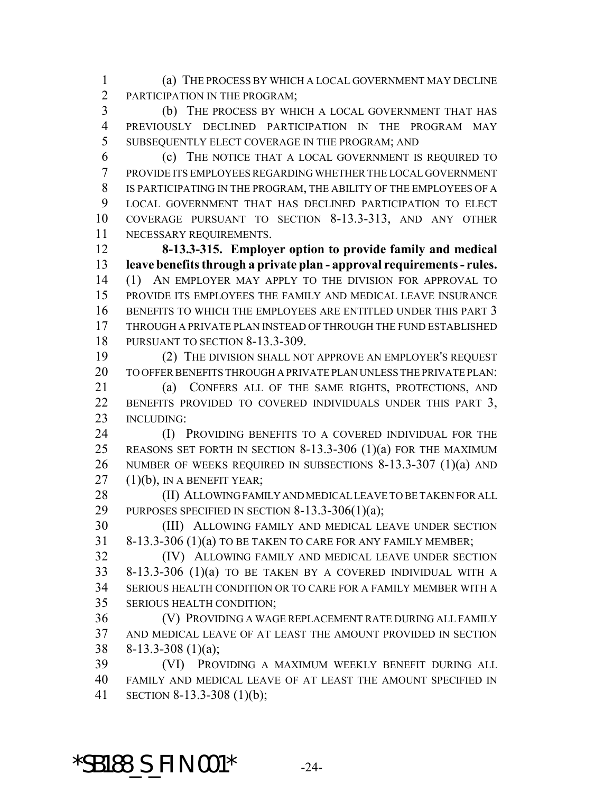(a) THE PROCESS BY WHICH A LOCAL GOVERNMENT MAY DECLINE PARTICIPATION IN THE PROGRAM;

 (b) THE PROCESS BY WHICH A LOCAL GOVERNMENT THAT HAS PREVIOUSLY DECLINED PARTICIPATION IN THE PROGRAM MAY SUBSEQUENTLY ELECT COVERAGE IN THE PROGRAM; AND

 (c) THE NOTICE THAT A LOCAL GOVERNMENT IS REQUIRED TO PROVIDE ITS EMPLOYEES REGARDING WHETHER THE LOCAL GOVERNMENT IS PARTICIPATING IN THE PROGRAM, THE ABILITY OF THE EMPLOYEES OF A LOCAL GOVERNMENT THAT HAS DECLINED PARTICIPATION TO ELECT COVERAGE PURSUANT TO SECTION 8-13.3-313, AND ANY OTHER NECESSARY REQUIREMENTS.

 **8-13.3-315. Employer option to provide family and medical leave benefits through a private plan - approval requirements - rules.** (1) AN EMPLOYER MAY APPLY TO THE DIVISION FOR APPROVAL TO PROVIDE ITS EMPLOYEES THE FAMILY AND MEDICAL LEAVE INSURANCE BENEFITS TO WHICH THE EMPLOYEES ARE ENTITLED UNDER THIS PART 3 THROUGH A PRIVATE PLAN INSTEAD OF THROUGH THE FUND ESTABLISHED 18 PURSUANT TO SECTION 8-13.3-309.

 (2) THE DIVISION SHALL NOT APPROVE AN EMPLOYER'S REQUEST TO OFFER BENEFITS THROUGH A PRIVATE PLAN UNLESS THE PRIVATE PLAN:

21 (a) CONFERS ALL OF THE SAME RIGHTS, PROTECTIONS, AND 22 BENEFITS PROVIDED TO COVERED INDIVIDUALS UNDER THIS PART 3, INCLUDING:

**(I) PROVIDING BENEFITS TO A COVERED INDIVIDUAL FOR THE**  REASONS SET FORTH IN SECTION 8-13.3-306 (1)(a) FOR THE MAXIMUM NUMBER OF WEEKS REQUIRED IN SUBSECTIONS 8-13.3-307 (1)(a) AND (1)(b), IN A BENEFIT YEAR;

 (II) ALLOWING FAMILY AND MEDICAL LEAVE TO BE TAKEN FOR ALL 29 PURPOSES SPECIFIED IN SECTION  $8-13.3-306(1)(a)$ ;

 (III) ALLOWING FAMILY AND MEDICAL LEAVE UNDER SECTION 8-13.3-306 (1)(a) TO BE TAKEN TO CARE FOR ANY FAMILY MEMBER;

 (IV) ALLOWING FAMILY AND MEDICAL LEAVE UNDER SECTION 8-13.3-306 (1)(a) TO BE TAKEN BY A COVERED INDIVIDUAL WITH A SERIOUS HEALTH CONDITION OR TO CARE FOR A FAMILY MEMBER WITH A SERIOUS HEALTH CONDITION;

 (V) PROVIDING A WAGE REPLACEMENT RATE DURING ALL FAMILY AND MEDICAL LEAVE OF AT LEAST THE AMOUNT PROVIDED IN SECTION 8-13.3-308 (1)(a);

 (VI) PROVIDING A MAXIMUM WEEKLY BENEFIT DURING ALL FAMILY AND MEDICAL LEAVE OF AT LEAST THE AMOUNT SPECIFIED IN SECTION 8-13.3-308 (1)(b);

**\*SB188\_S\_FIN.001\*** -24-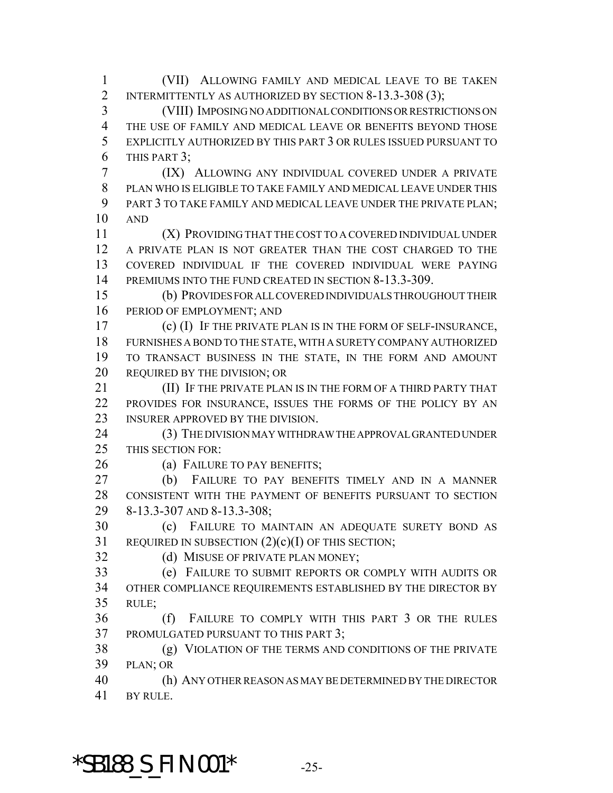(VII) ALLOWING FAMILY AND MEDICAL LEAVE TO BE TAKEN 2 INTERMITTENTLY AS AUTHORIZED BY SECTION 8-13.3-308 (3); (VIII) IMPOSING NO ADDITIONAL CONDITIONS OR RESTRICTIONS ON

 THE USE OF FAMILY AND MEDICAL LEAVE OR BENEFITS BEYOND THOSE EXPLICITLY AUTHORIZED BY THIS PART 3 OR RULES ISSUED PURSUANT TO THIS PART 3;

 (IX) ALLOWING ANY INDIVIDUAL COVERED UNDER A PRIVATE PLAN WHO IS ELIGIBLE TO TAKE FAMILY AND MEDICAL LEAVE UNDER THIS PART 3 TO TAKE FAMILY AND MEDICAL LEAVE UNDER THE PRIVATE PLAN; AND

 (X) PROVIDING THAT THE COST TO A COVERED INDIVIDUAL UNDER A PRIVATE PLAN IS NOT GREATER THAN THE COST CHARGED TO THE COVERED INDIVIDUAL IF THE COVERED INDIVIDUAL WERE PAYING 14 PREMIUMS INTO THE FUND CREATED IN SECTION 8-13.3-309.

 (b) PROVIDES FOR ALL COVERED INDIVIDUALS THROUGHOUT THEIR PERIOD OF EMPLOYMENT; AND

 (c) (I) IF THE PRIVATE PLAN IS IN THE FORM OF SELF-INSURANCE, FURNISHES A BOND TO THE STATE, WITH A SURETY COMPANY AUTHORIZED TO TRANSACT BUSINESS IN THE STATE, IN THE FORM AND AMOUNT 20 REQUIRED BY THE DIVISION; OR

**III)** IF THE PRIVATE PLAN IS IN THE FORM OF A THIRD PARTY THAT PROVIDES FOR INSURANCE, ISSUES THE FORMS OF THE POLICY BY AN INSURER APPROVED BY THE DIVISION.

 (3) THE DIVISION MAY WITHDRAW THE APPROVAL GRANTED UNDER THIS SECTION FOR:

26 (a) FAILURE TO PAY BENEFITS;

 (b) FAILURE TO PAY BENEFITS TIMELY AND IN A MANNER CONSISTENT WITH THE PAYMENT OF BENEFITS PURSUANT TO SECTION 8-13.3-307 AND 8-13.3-308;

 (c) FAILURE TO MAINTAIN AN ADEQUATE SURETY BOND AS REQUIRED IN SUBSECTION (2)(c)(I) OF THIS SECTION;

32 (d) MISUSE OF PRIVATE PLAN MONEY;

 (e) FAILURE TO SUBMIT REPORTS OR COMPLY WITH AUDITS OR OTHER COMPLIANCE REQUIREMENTS ESTABLISHED BY THE DIRECTOR BY RULE;

 (f) FAILURE TO COMPLY WITH THIS PART 3 OR THE RULES PROMULGATED PURSUANT TO THIS PART 3;

 (g) VIOLATION OF THE TERMS AND CONDITIONS OF THE PRIVATE PLAN; OR

 (h) ANY OTHER REASON AS MAY BE DETERMINED BY THE DIRECTOR BY RULE.

## **\*SB188\_S\_FIN.001\*** -25-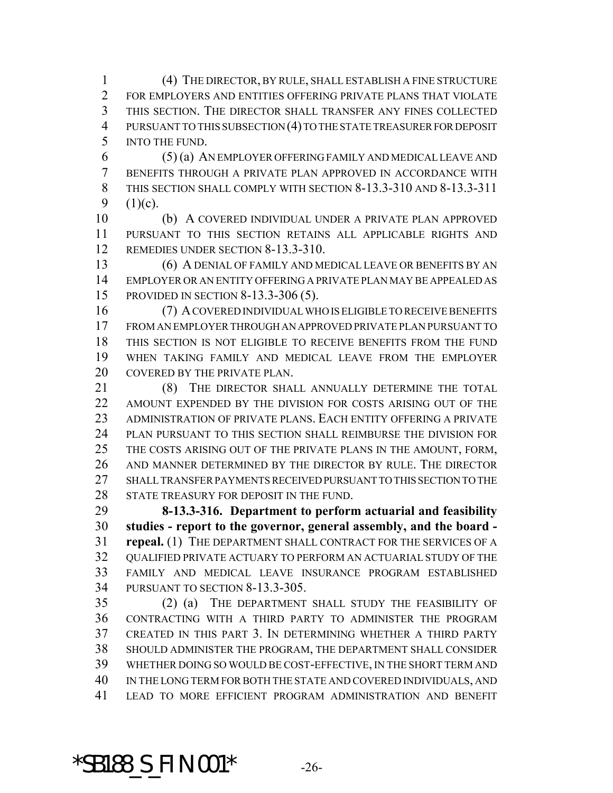(4) THE DIRECTOR, BY RULE, SHALL ESTABLISH A FINE STRUCTURE FOR EMPLOYERS AND ENTITIES OFFERING PRIVATE PLANS THAT VIOLATE THIS SECTION. THE DIRECTOR SHALL TRANSFER ANY FINES COLLECTED PURSUANT TO THIS SUBSECTION (4) TO THE STATE TREASURER FOR DEPOSIT INTO THE FUND.

 (5) (a) AN EMPLOYER OFFERING FAMILY AND MEDICAL LEAVE AND BENEFITS THROUGH A PRIVATE PLAN APPROVED IN ACCORDANCE WITH THIS SECTION SHALL COMPLY WITH SECTION 8-13.3-310 AND 8-13.3-311 9  $(1)(c)$ .

 (b) A COVERED INDIVIDUAL UNDER A PRIVATE PLAN APPROVED PURSUANT TO THIS SECTION RETAINS ALL APPLICABLE RIGHTS AND REMEDIES UNDER SECTION 8-13.3-310.

 (6) A DENIAL OF FAMILY AND MEDICAL LEAVE OR BENEFITS BY AN EMPLOYER OR AN ENTITY OFFERING A PRIVATE PLAN MAY BE APPEALED AS PROVIDED IN SECTION 8-13.3-306 (5).

 (7) A COVERED INDIVIDUAL WHO IS ELIGIBLE TO RECEIVE BENEFITS FROM AN EMPLOYER THROUGH AN APPROVED PRIVATE PLAN PURSUANT TO THIS SECTION IS NOT ELIGIBLE TO RECEIVE BENEFITS FROM THE FUND WHEN TAKING FAMILY AND MEDICAL LEAVE FROM THE EMPLOYER 20 COVERED BY THE PRIVATE PLAN.

21 (8) THE DIRECTOR SHALL ANNUALLY DETERMINE THE TOTAL 22 AMOUNT EXPENDED BY THE DIVISION FOR COSTS ARISING OUT OF THE ADMINISTRATION OF PRIVATE PLANS. EACH ENTITY OFFERING A PRIVATE PLAN PURSUANT TO THIS SECTION SHALL REIMBURSE THE DIVISION FOR THE COSTS ARISING OUT OF THE PRIVATE PLANS IN THE AMOUNT, FORM, AND MANNER DETERMINED BY THE DIRECTOR BY RULE. THE DIRECTOR SHALL TRANSFER PAYMENTS RECEIVED PURSUANT TO THIS SECTION TO THE 28 STATE TREASURY FOR DEPOSIT IN THE FUND.

 **8-13.3-316. Department to perform actuarial and feasibility studies - report to the governor, general assembly, and the board - repeal.** (1) THE DEPARTMENT SHALL CONTRACT FOR THE SERVICES OF A QUALIFIED PRIVATE ACTUARY TO PERFORM AN ACTUARIAL STUDY OF THE FAMILY AND MEDICAL LEAVE INSURANCE PROGRAM ESTABLISHED PURSUANT TO SECTION 8-13.3-305.

 (2) (a) THE DEPARTMENT SHALL STUDY THE FEASIBILITY OF CONTRACTING WITH A THIRD PARTY TO ADMINISTER THE PROGRAM CREATED IN THIS PART 3. IN DETERMINING WHETHER A THIRD PARTY SHOULD ADMINISTER THE PROGRAM, THE DEPARTMENT SHALL CONSIDER WHETHER DOING SO WOULD BE COST-EFFECTIVE, IN THE SHORT TERM AND IN THE LONG TERM FOR BOTH THE STATE AND COVERED INDIVIDUALS, AND LEAD TO MORE EFFICIENT PROGRAM ADMINISTRATION AND BENEFIT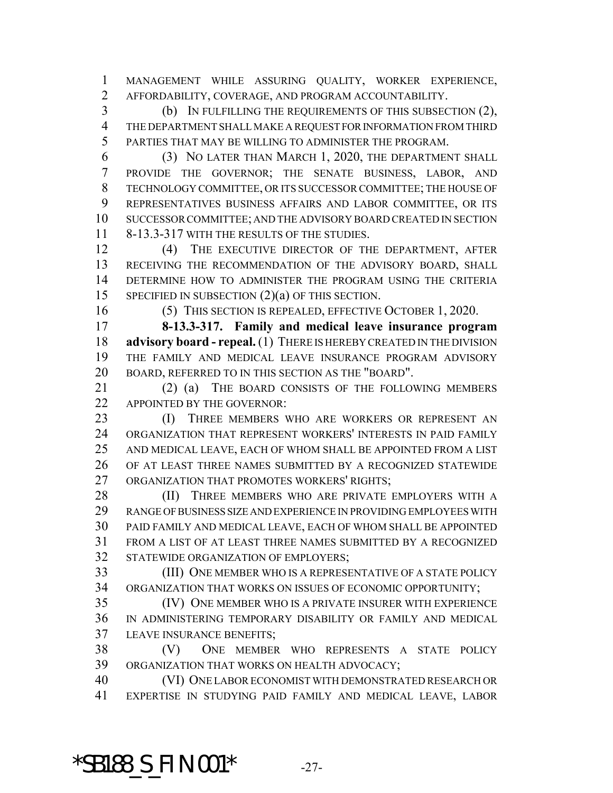MANAGEMENT WHILE ASSURING QUALITY, WORKER EXPERIENCE, AFFORDABILITY, COVERAGE, AND PROGRAM ACCOUNTABILITY.

 (b) IN FULFILLING THE REQUIREMENTS OF THIS SUBSECTION (2), THE DEPARTMENT SHALL MAKE A REQUEST FOR INFORMATION FROM THIRD PARTIES THAT MAY BE WILLING TO ADMINISTER THE PROGRAM.

 (3) NO LATER THAN MARCH 1, 2020, THE DEPARTMENT SHALL PROVIDE THE GOVERNOR; THE SENATE BUSINESS, LABOR, AND TECHNOLOGY COMMITTEE, OR ITS SUCCESSOR COMMITTEE; THE HOUSE OF REPRESENTATIVES BUSINESS AFFAIRS AND LABOR COMMITTEE, OR ITS SUCCESSOR COMMITTEE; AND THE ADVISORY BOARD CREATED IN SECTION 8-13.3-317 WITH THE RESULTS OF THE STUDIES.

 (4) THE EXECUTIVE DIRECTOR OF THE DEPARTMENT, AFTER RECEIVING THE RECOMMENDATION OF THE ADVISORY BOARD, SHALL DETERMINE HOW TO ADMINISTER THE PROGRAM USING THE CRITERIA SPECIFIED IN SUBSECTION (2)(a) OF THIS SECTION.

(5) THIS SECTION IS REPEALED, EFFECTIVE OCTOBER 1, 2020.

 **8-13.3-317. Family and medical leave insurance program advisory board - repeal.** (1) THERE IS HEREBY CREATED IN THE DIVISION THE FAMILY AND MEDICAL LEAVE INSURANCE PROGRAM ADVISORY BOARD, REFERRED TO IN THIS SECTION AS THE "BOARD".

 (2) (a) THE BOARD CONSISTS OF THE FOLLOWING MEMBERS APPOINTED BY THE GOVERNOR:

23 (I) THREE MEMBERS WHO ARE WORKERS OR REPRESENT AN ORGANIZATION THAT REPRESENT WORKERS' INTERESTS IN PAID FAMILY AND MEDICAL LEAVE, EACH OF WHOM SHALL BE APPOINTED FROM A LIST OF AT LEAST THREE NAMES SUBMITTED BY A RECOGNIZED STATEWIDE ORGANIZATION THAT PROMOTES WORKERS' RIGHTS;

28 (II) THREE MEMBERS WHO ARE PRIVATE EMPLOYERS WITH A RANGE OF BUSINESS SIZE AND EXPERIENCE IN PROVIDING EMPLOYEES WITH PAID FAMILY AND MEDICAL LEAVE, EACH OF WHOM SHALL BE APPOINTED FROM A LIST OF AT LEAST THREE NAMES SUBMITTED BY A RECOGNIZED STATEWIDE ORGANIZATION OF EMPLOYERS;

 (III) ONE MEMBER WHO IS A REPRESENTATIVE OF A STATE POLICY ORGANIZATION THAT WORKS ON ISSUES OF ECONOMIC OPPORTUNITY;

 (IV) ONE MEMBER WHO IS A PRIVATE INSURER WITH EXPERIENCE IN ADMINISTERING TEMPORARY DISABILITY OR FAMILY AND MEDICAL LEAVE INSURANCE BENEFITS;

 (V) ONE MEMBER WHO REPRESENTS A STATE POLICY ORGANIZATION THAT WORKS ON HEALTH ADVOCACY;

 (VI) ONE LABOR ECONOMIST WITH DEMONSTRATED RESEARCH OR EXPERTISE IN STUDYING PAID FAMILY AND MEDICAL LEAVE, LABOR

**\*SB188\_S\_FIN.001\*** -27-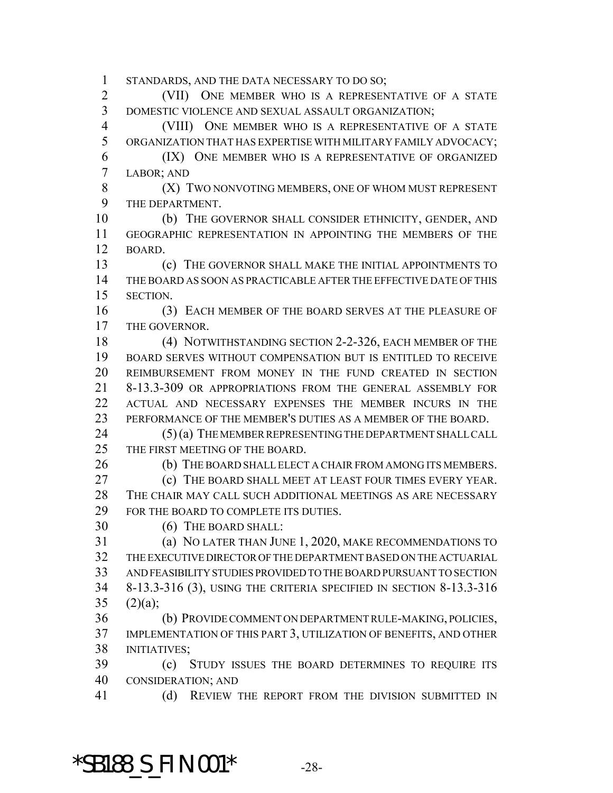STANDARDS, AND THE DATA NECESSARY TO DO SO;

 (VII) ONE MEMBER WHO IS A REPRESENTATIVE OF A STATE DOMESTIC VIOLENCE AND SEXUAL ASSAULT ORGANIZATION;

 (VIII) ONE MEMBER WHO IS A REPRESENTATIVE OF A STATE ORGANIZATION THAT HAS EXPERTISE WITH MILITARY FAMILY ADVOCACY;

 (IX) ONE MEMBER WHO IS A REPRESENTATIVE OF ORGANIZED LABOR; AND

8 (X) TWO NONVOTING MEMBERS, ONE OF WHOM MUST REPRESENT THE DEPARTMENT.

 (b) THE GOVERNOR SHALL CONSIDER ETHNICITY, GENDER, AND GEOGRAPHIC REPRESENTATION IN APPOINTING THE MEMBERS OF THE BOARD.

**(c)** THE GOVERNOR SHALL MAKE THE INITIAL APPOINTMENTS TO THE BOARD AS SOON AS PRACTICABLE AFTER THE EFFECTIVE DATE OF THIS SECTION.

 (3) EACH MEMBER OF THE BOARD SERVES AT THE PLEASURE OF 17 THE GOVERNOR.

18 (4) NOTWITHSTANDING SECTION 2-2-326, EACH MEMBER OF THE BOARD SERVES WITHOUT COMPENSATION BUT IS ENTITLED TO RECEIVE REIMBURSEMENT FROM MONEY IN THE FUND CREATED IN SECTION 8-13.3-309 OR APPROPRIATIONS FROM THE GENERAL ASSEMBLY FOR ACTUAL AND NECESSARY EXPENSES THE MEMBER INCURS IN THE PERFORMANCE OF THE MEMBER'S DUTIES AS A MEMBER OF THE BOARD.

24 (5) (a) THE MEMBER REPRESENTING THE DEPARTMENT SHALL CALL THE FIRST MEETING OF THE BOARD.

26 (b) THE BOARD SHALL ELECT A CHAIR FROM AMONG ITS MEMBERS.

 (c) THE BOARD SHALL MEET AT LEAST FOUR TIMES EVERY YEAR. THE CHAIR MAY CALL SUCH ADDITIONAL MEETINGS AS ARE NECESSARY FOR THE BOARD TO COMPLETE ITS DUTIES.

(6) THE BOARD SHALL:

 (a) NO LATER THAN JUNE 1, 2020, MAKE RECOMMENDATIONS TO THE EXECUTIVE DIRECTOR OF THE DEPARTMENT BASED ON THE ACTUARIAL AND FEASIBILITY STUDIES PROVIDED TO THE BOARD PURSUANT TO SECTION 8-13.3-316 (3), USING THE CRITERIA SPECIFIED IN SECTION 8-13.3-316 35  $(2)(a)$ ;

 (b) PROVIDE COMMENT ON DEPARTMENT RULE-MAKING, POLICIES, IMPLEMENTATION OF THIS PART 3, UTILIZATION OF BENEFITS, AND OTHER INITIATIVES;

 (c) STUDY ISSUES THE BOARD DETERMINES TO REQUIRE ITS CONSIDERATION; AND

41 (d) REVIEW THE REPORT FROM THE DIVISION SUBMITTED IN

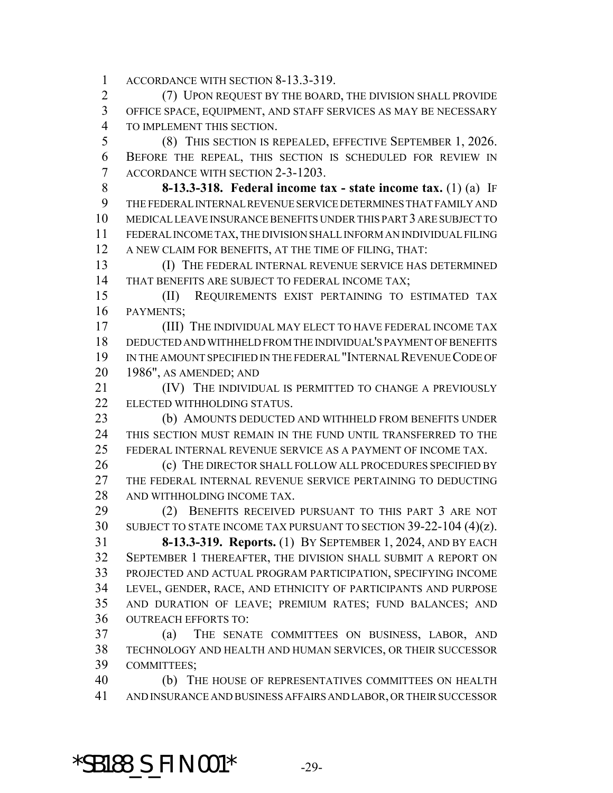ACCORDANCE WITH SECTION 8-13.3-319.

 (7) UPON REQUEST BY THE BOARD, THE DIVISION SHALL PROVIDE OFFICE SPACE, EQUIPMENT, AND STAFF SERVICES AS MAY BE NECESSARY TO IMPLEMENT THIS SECTION.

 (8) THIS SECTION IS REPEALED, EFFECTIVE SEPTEMBER 1, 2026. BEFORE THE REPEAL, THIS SECTION IS SCHEDULED FOR REVIEW IN ACCORDANCE WITH SECTION 2-3-1203.

 **8-13.3-318. Federal income tax - state income tax.** (1) (a) IF THE FEDERAL INTERNAL REVENUE SERVICE DETERMINES THAT FAMILY AND MEDICAL LEAVE INSURANCE BENEFITS UNDER THIS PART 3 ARE SUBJECT TO FEDERAL INCOME TAX, THE DIVISION SHALL INFORM AN INDIVIDUAL FILING A NEW CLAIM FOR BENEFITS, AT THE TIME OF FILING, THAT:

 (I) THE FEDERAL INTERNAL REVENUE SERVICE HAS DETERMINED THAT BENEFITS ARE SUBJECT TO FEDERAL INCOME TAX;

 (II) REQUIREMENTS EXIST PERTAINING TO ESTIMATED TAX PAYMENTS;

 (III) THE INDIVIDUAL MAY ELECT TO HAVE FEDERAL INCOME TAX DEDUCTED AND WITHHELD FROM THE INDIVIDUAL'S PAYMENT OF BENEFITS IN THE AMOUNT SPECIFIED IN THE FEDERAL "INTERNAL REVENUE CODE OF 1986", AS AMENDED; AND

**(IV)** THE INDIVIDUAL IS PERMITTED TO CHANGE A PREVIOUSLY 22 ELECTED WITHHOLDING STATUS.

 (b) AMOUNTS DEDUCTED AND WITHHELD FROM BENEFITS UNDER THIS SECTION MUST REMAIN IN THE FUND UNTIL TRANSFERRED TO THE FEDERAL INTERNAL REVENUE SERVICE AS A PAYMENT OF INCOME TAX.

 (c) THE DIRECTOR SHALL FOLLOW ALL PROCEDURES SPECIFIED BY THE FEDERAL INTERNAL REVENUE SERVICE PERTAINING TO DEDUCTING AND WITHHOLDING INCOME TAX.

 (2) BENEFITS RECEIVED PURSUANT TO THIS PART 3 ARE NOT SUBJECT TO STATE INCOME TAX PURSUANT TO SECTION 39-22-104 (4)(z). **8-13.3-319. Reports.** (1) BY SEPTEMBER 1, 2024, AND BY EACH SEPTEMBER 1 THEREAFTER, THE DIVISION SHALL SUBMIT A REPORT ON PROJECTED AND ACTUAL PROGRAM PARTICIPATION, SPECIFYING INCOME LEVEL, GENDER, RACE, AND ETHNICITY OF PARTICIPANTS AND PURPOSE AND DURATION OF LEAVE; PREMIUM RATES; FUND BALANCES; AND OUTREACH EFFORTS TO:

 (a) THE SENATE COMMITTEES ON BUSINESS, LABOR, AND TECHNOLOGY AND HEALTH AND HUMAN SERVICES, OR THEIR SUCCESSOR COMMITTEES;

 (b) THE HOUSE OF REPRESENTATIVES COMMITTEES ON HEALTH AND INSURANCE AND BUSINESS AFFAIRS AND LABOR, OR THEIR SUCCESSOR

**\*SB188\_S\_FIN.001\*** -29-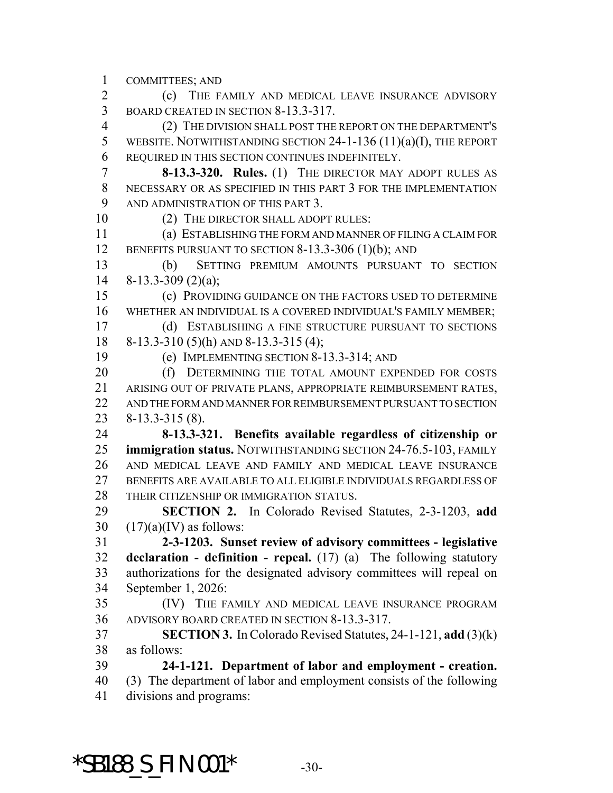COMMITTEES; AND

 (c) THE FAMILY AND MEDICAL LEAVE INSURANCE ADVISORY BOARD CREATED IN SECTION 8-13.3-317.

 (2) THE DIVISION SHALL POST THE REPORT ON THE DEPARTMENT'S WEBSITE. NOTWITHSTANDING SECTION 24-1-136 (11)(a)(I), THE REPORT REQUIRED IN THIS SECTION CONTINUES INDEFINITELY.

 **8-13.3-320. Rules.** (1) THE DIRECTOR MAY ADOPT RULES AS NECESSARY OR AS SPECIFIED IN THIS PART 3 FOR THE IMPLEMENTATION 9 AND ADMINISTRATION OF THIS PART 3.

10 (2) THE DIRECTOR SHALL ADOPT RULES:

 (a) ESTABLISHING THE FORM AND MANNER OF FILING A CLAIM FOR 12 BENEFITS PURSUANT TO SECTION 8-13.3-306 (1)(b); AND

 (b) SETTING PREMIUM AMOUNTS PURSUANT TO SECTION 8-13.3-309 (2)(a);

 (c) PROVIDING GUIDANCE ON THE FACTORS USED TO DETERMINE WHETHER AN INDIVIDUAL IS A COVERED INDIVIDUAL'S FAMILY MEMBER; (d) ESTABLISHING A FINE STRUCTURE PURSUANT TO SECTIONS

8-13.3-310 (5)(h) AND 8-13.3-315 (4);

(e) IMPLEMENTING SECTION 8-13.3-314; AND

20 (f) DETERMINING THE TOTAL AMOUNT EXPENDED FOR COSTS ARISING OUT OF PRIVATE PLANS, APPROPRIATE REIMBURSEMENT RATES, AND THE FORM AND MANNER FOR REIMBURSEMENT PURSUANT TO SECTION 8-13.3-315 (8).

 **8-13.3-321. Benefits available regardless of citizenship or immigration status.** NOTWITHSTANDING SECTION 24-76.5-103, FAMILY AND MEDICAL LEAVE AND FAMILY AND MEDICAL LEAVE INSURANCE BENEFITS ARE AVAILABLE TO ALL ELIGIBLE INDIVIDUALS REGARDLESS OF THEIR CITIZENSHIP OR IMMIGRATION STATUS.

 **SECTION 2.** In Colorado Revised Statutes, 2-3-1203, **add** 30  $(17)(a)(IV)$  as follows:

 **2-3-1203. Sunset review of advisory committees - legislative declaration - definition - repeal.** (17) (a) The following statutory authorizations for the designated advisory committees will repeal on September 1, 2026:

 (IV) THE FAMILY AND MEDICAL LEAVE INSURANCE PROGRAM ADVISORY BOARD CREATED IN SECTION 8-13.3-317.

 **SECTION 3.** In Colorado Revised Statutes, 24-1-121, **add** (3)(k) as follows:

 **24-1-121. Department of labor and employment - creation.** (3) The department of labor and employment consists of the following divisions and programs:

**\*SB188\_S\_FIN.001\*** -30-